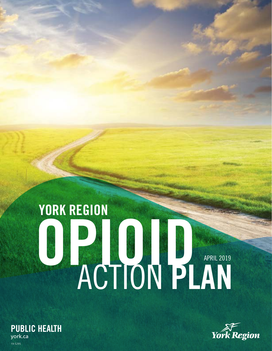# OPIOID YORK REGION APRIL 2019 ACTION PLAN





19-5295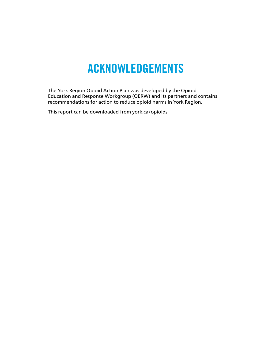## ACKNOWLEDGEMENTS

The York Region Opioid Action Plan was developed by the Opioid Education and Response Workgroup (OERW) and its partners and contains recommendations for action to reduce opioid harms in York Region.

This report can be downloaded from york.ca/opioids.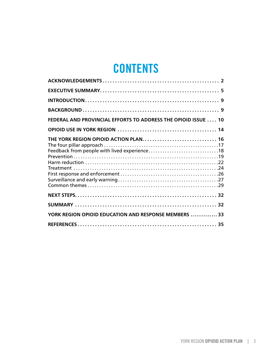### **CONTENTS**

| FEDERAL AND PROVINCIAL EFFORTS TO ADDRESS THE OPIOID ISSUE  10 |
|----------------------------------------------------------------|
|                                                                |
|                                                                |
|                                                                |
|                                                                |
| YORK REGION OPIOID EDUCATION AND RESPONSE MEMBERS  33          |
|                                                                |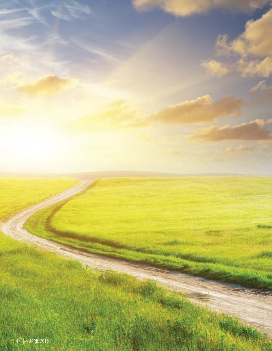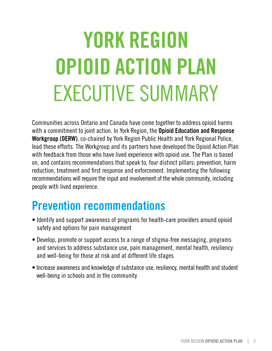# YORK REGION OPIOID ACTION PLAN EXECUTIVE SUMMARY

Communities across Ontario and Canada have come together to address opioid harms with a commitment to joint action. In York Region, the **Opioid Education and Response** Workgroup (OERW), co-chaired by York Region Public Health and York Regional Police, lead these efforts. The Workgroup and its partners have developed the Opioid Action Plan with feedback from those who have lived experience with opioid use. The Plan is based on, and contains recommendations that speak to, four distinct pillars: prevention, harm reduction, treatment and first response and enforcement. Implementing the following recommendations will require the input and involvement of the whole community, including people with lived experience.

## Prevention recommendations

- Identify and support awareness of programs for health-care providers around opioid safety and options for pain management
- Develop, promote or support access to a range of stigma-free messaging, programs and services to address substance use, pain management, mental health, resiliency and well-being for those at risk and at different life stages
- Increase awareness and knowledge of substance use, resiliency, mental health and student well-being in schools and in the community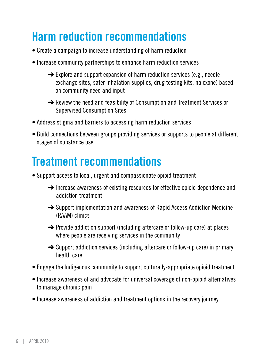## Harm reduction recommendations

- Create a campaign to increase understanding of harm reduction
- Increase community partnerships to enhance harm reduction services
	- $\rightarrow$  Explore and support expansion of harm reduction services (e.g., needle exchange sites, safer inhalation supplies, drug testing kits, naloxone) based on community need and input
	- **→ Review the need and feasibility of Consumption and Treatment Services or** Supervised Consumption Sites
- Address stigma and barriers to accessing harm reduction services
- Build connections between groups providing services or supports to people at different stages of substance use

## Treatment recommendations

- Support access to local, urgent and compassionate opioid treatment
	- **→** Increase awareness of existing resources for effective opioid dependence and addiction treatment
	- **→** Support implementation and awareness of Rapid Access Addiction Medicine (RAAM) clinics
	- **→** Provide addiction support (including aftercare or follow-up care) at places where people are receiving services in the community
	- $\rightarrow$  Support addiction services (including aftercare or follow-up care) in primary health care
- Engage the Indigenous community to support culturally-appropriate opioid treatment
- Increase awareness of and advocate for universal coverage of non-opioid alternatives to manage chronic pain
- Increase awareness of addiction and treatment options in the recovery journey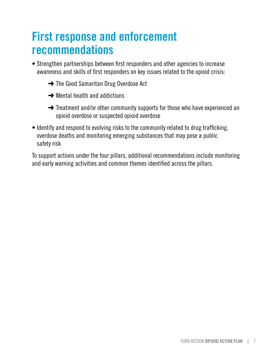## First response and enforcement recommendations

- Strengthen partnerships between first responders and other agencies to increase awareness and skills of first responders on key issues related to the opioid crisis:
	- **→ The Good Samaritan Drug Overdose Act**
	- $\rightarrow$  Mental health and addictions
	- $\rightarrow$  Treatment and/or other community supports for those who have experienced an opioid overdose or suspected opioid overdose
- Identify and respond to evolving risks to the community related to drug trafficking, overdose deaths and monitoring emerging substances that may pose a public safety risk

To support actions under the four pillars, additional recommendations include monitoring and early warning activities and common themes identified across the pillars.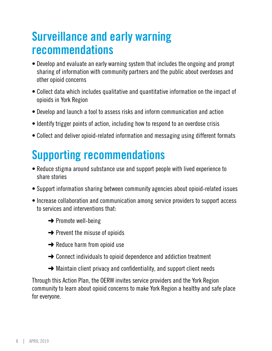## Surveillance and early warning recommendations

- Develop and evaluate an early warning system that includes the ongoing and prompt sharing of information with community partners and the public about overdoses and other opioid concerns
- Collect data which includes qualitative and quantitative information on the impact of opioids in York Region
- Develop and launch a tool to assess risks and inform communication and action
- Identify trigger points of action, including how to respond to an overdose crisis
- Collect and deliver opioid-related information and messaging using different formats

## Supporting recommendations

- Reduce stigma around substance use and support people with lived experience to share stories
- Support information sharing between community agencies about opioid-related issues
- Increase collaboration and communication among service providers to support access to services and interventions that:
	- **→ Promote well-being**
	- $\rightarrow$  Prevent the misuse of opioids
	- $\rightarrow$  Reduce harm from opioid use
	- $\rightarrow$  Connect individuals to opioid dependence and addiction treatment
	- $\rightarrow$  Maintain client privacy and confidentiality, and support client needs

Through this Action Plan, the OERW invites service providers and the York Region community to learn about opioid concerns to make York Region a healthy and safe place for everyone.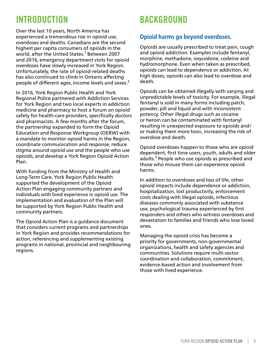### INTRODUCTION

Over the last 10 years, North America has experienced a tremendous rise in opioid use, overdoses and deaths. Canadians are the second highest per capita consumers of opioids in the world, after the United States.<sup>1</sup> Between 2007 and 2016, emergency department visits for opioid overdoses have slowly increased in York Region. Unfortunately, the rate of opioid-related deaths has also continued to climb in Ontario affecting people of different ages, income levels and sexes.²

In 2016, York Region Public Health and York Regional Police partnered with Addiction Services for York Region and two local experts in addiction medicine and pharmacy to host a forum on opioid safety for health-care providers, specifically doctors and pharmacists. A few months after the forum, the partnership expanded to form the Opioid Education and Response Workgroup (OERW) with a mandate to monitor opioid harms in the Region, coordinate communication and response, reduce stigma around opioid use and the people who use opioids, and develop a York Region Opioid Action Plan.

With funding from the Ministry of Health and Long-Term Care, York Region Public Health supported the development of the Opioid Action Plan engaging community partners and individuals with lived experience in opioid use. The implementation and evaluation of the Plan will be supported by York Region Public Health and community partners.

The Opioid Action Plan is a guidance document that considers current programs and partnerships in York Region and provides recommendations for action, referencing and supplementing existing programs in national, provincial and neighbouring regions.

### **BACKGROUND**

#### **Opioid harms go beyond overdoses.**

Opioids are usually prescribed to treat pain, cough and opioid addiction. Examples include fentanyl, morphine, methadone, oxycodone, codeine and hydromorphone. Even when taken as prescribed, opioids can lead to dependence or addiction. At high doses, opioids can also lead to overdose and death.

Opioids can be obtained illegally with varying and unpredictable levels of toxicity. For example, illegal fentanyl is sold in many forms including patch, powder, pill and liquid and with inconsistent potency. Other illegal drugs such as cocaine or heroin can be contaminated with fentanyl resulting in unexpected exposure to opioids and/ or making them more toxic, increasing the risk of overdose and death.

Opioid overdoses happen to those who are opioid dependent, first time users, youth, adults and older adults.<sup>3</sup> People who use opioids as prescribed and those who misuse them can experience opioid harms.

In addition to overdoses and loss of life, other opioid impacts include dependence or addiction, hospitalization, lost productivity, enforcement costs dealing with illegal opioids, infectious diseases commonly associated with substance use, psychological trauma experienced by first responders and others who witness overdoses and devastation to families and friends who lose loved ones.

Managing the opioid crisis has become a priority for governments, non-governmental organizations, health and safety agencies and communities. Solutions require multi-sector coordination and collaboration, commitment, evidence-based action and involvement from those with lived experience.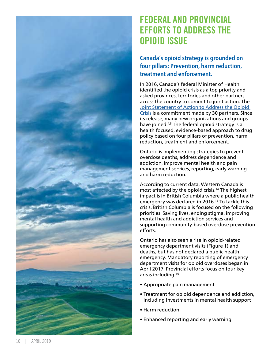

### FEDERAL AND PROVINCIAL EFFORTS TO ADDRESS THE OPIOID ISSUE

#### **Canada's opioid strategy is grounded on four pillars: Prevention, harm reduction, treatment and enforcement.**

In 2016, Canada's federal Minister of Health identified the opioid crisis as a top priority and asked provinces, territories and other partners across the country to commit to joint action. The [Joint Statement of Action to Address the Opioid](http://www.ccsa.ca/Resource%20Library/CCSA-Joint-Statement-of-Action-Opioid-Crisis-Annual-Report-2017-en.pdf)  [Crisis](http://www.ccsa.ca/Resource%20Library/CCSA-Joint-Statement-of-Action-Opioid-Crisis-Annual-Report-2017-en.pdf) is a commitment made by 30 partners. Since its release, many new organizations and groups have joined.<sup>4,5</sup> The federal opioid strategy is a health focused, evidence-based approach to drug policy based on four pillars of prevention, harm reduction, treatment and enforcement.

Ontario is implementing strategies to prevent overdose deaths, address dependence and addiction, improve mental health and pain management services, reporting, early warning and harm reduction.

According to current data, Western Canada is most affected by the opioid crisis.14 The highest impact is in British Columbia where a public health emergency was declared in 2016.<sup>15</sup> To tackle this crisis, British Columbia is focused on the following priorities: Saving lives, ending stigma, improving mental health and addiction services and supporting community-based overdose prevention efforts.

Ontario has also seen a rise in opioid-related emergency department visits (Figure 1) and deaths, but has not declared a public health emergency. Mandatory reporting of emergency department visits for opioid overdoses began in April 2017. Provincial efforts focus on four key areas including:16

- Appropriate pain management
- Treatment for opioid dependence and addiction, including investments in mental health support
- Harm reduction
- Enhanced reporting and early warning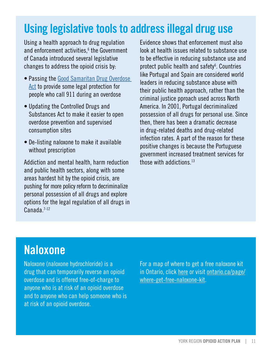## Using legislative tools to address illegal drug use

Using a health approach to drug regulation and enforcement activities,<sup>6</sup> the Government of Canada introduced several legislative changes to address the opioid crisis by:

- Passing the [Good Samaritan Drug Overdose](https://www.canada.ca/en/health-canada/services/substance-use/problematic-prescription-drug-use/opioids/about-good-samaritan-drug-overdose-act.html)  [Act](https://www.canada.ca/en/health-canada/services/substance-use/problematic-prescription-drug-use/opioids/about-good-samaritan-drug-overdose-act.html) to provide some legal protection for people who call 911 during an overdose
- Updating the [Controlled Drugs and](https://www.canada.ca/en/health-canada/services/substance-use/problematic-prescription-drug-use/opioids/about-good-samaritan-drug-overdose-act.html)  [Substances Act](https://www.canada.ca/en/health-canada/services/substance-use/problematic-prescription-drug-use/opioids/about-good-samaritan-drug-overdose-act.html) to make it easier to open overdose prevention and supervised consumption sites
- De-listing naloxone to make it available without prescription

Addiction and mental health, harm reduction and public health sectors, along with some areas hardest hit by the opioid crisis, are pushing for more policy reform to decriminalize personal possession of all drugs and explore options for the legal regulation of all drugs in Canada.7-12

Evidence shows that enforcement must also look at health issues related to substance use to be effective in reducing substance use and protect public health and safety<sup>6</sup>. Countries like Portugal and Spain are considered world leaders in reducing substance abuse with their public health approach, rather than the criminal justice pproach used across North America. In 2001, Portugal decriminalized possession of all drugs for personal use. Since then, there has been a dramatic decrease in drug-related deaths and drug-related infection rates. A part of the reason for these positive changes is because the Portuguese government increased treatment services for those with addictions  $13$ 

### Naloxone

Naloxone (naloxone hydrochloride) is a drug that can temporarily reverse an opioid overdose and is offered free-of-charge to anyone who is at risk of an opioid overdose and to anyone who can help someone who is at risk of an opioid overdose.

For a map of where to get a free naloxone kit in Ontario, click [here](https://www.ontario.ca/page/where-get-free-naloxone-kit) or visit [ontario.ca/page/](https://www.ontario.ca/page/where-get-free-naloxone-kit) [where-get-free-naloxone-kit.](https://www.ontario.ca/page/where-get-free-naloxone-kit)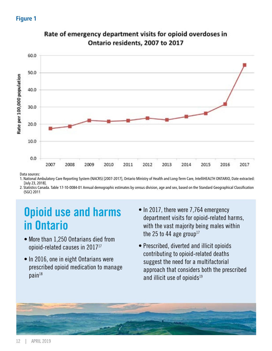#### **Figure 1**



#### Rate of emergency department visits for opioid overdoses in Ontario residents, 2007 to 2017

#### Data sources:

1. National Ambulatory Care Reporting System (NACRS) [2007-2017], Ontario Ministry of Health and Long-Term Care, IntelliHEALTH ONTARIO, Date extracted: [July 23, 2018].

2. Statistics Canada. Table 17-10-0084-01 Annual demographic estimates by census division, age and sex, based on the Standard Geographical Classification (SGC) 2011

### Opioid use and harms in Ontario

- More than 1,250 Ontarians died from opioid-related causes in 201717
- In 2016, one in eight Ontarians were prescribed opioid medication to manage pain<sup>18</sup>
- In 2017, there were 7,764 emergency department visits for opioid-related harms, with the vast majority being males within the 25 to 44 age group<sup>17</sup>
- Prescribed, diverted and illicit opioids contributing to opioid-related deaths suggest the need for a multifactorial approach that considers both the prescribed and illicit use of opioids<sup>19</sup>

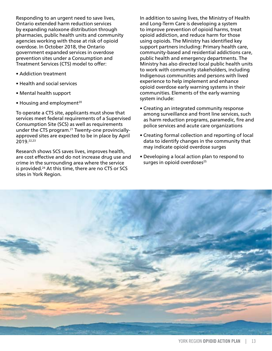Responding to an urgent need to save lives, Ontario extended harm reduction services by expanding naloxone distribution through pharmacies, public health units and community agencies working with those at risk of opioid overdose. In October 2018, the Ontario government expanded services in overdose prevention sites under a Consumption and Treatment Services (CTS) model to offer:

- Addiction treatment
- Health and social services
- Mental health support
- Housing and employment<sup>20</sup>

To operate a CTS site, applicants must show that services meet federal requirements of a Supervised Consumption Site (SCS) as well as requirements under the CTS program.<sup>21</sup> Twenty-one provinciallyapproved sites are expected to be in place by April 2019.22,23

Research shows SCS saves lives, improves health, are cost effective and do not increase drug use and crime in the surrounding area where the service is provided.<sup>24</sup> At this time, there are no CTS or SCS sites in York Region.

In addition to saving lives, the Ministry of Health and Long-Term Care is developing a system to improve prevention of opioid harms, treat opioid addiction, and reduce harm for those using opioids. The Ministry has identified key support partners including: Primary health care, community-based and residential addictions care, public health and emergency departments. The Ministry has also directed local public health units to work with community stakeholders, including Indigenous communities and persons with lived experience to help implement and enhance opioid overdose early warning systems in their communities. Elements of the early warning system include:

- Creating an integrated community response among surveillance and front line services, such as harm reduction programs, paramedic, fire and police services and acute care organizations
- Creating formal collection and reporting of local data to identify changes in the community that may indicate opioid overdose surges
- Developing a local action plan to respond to surges in opioid overdoses<sup>25</sup>

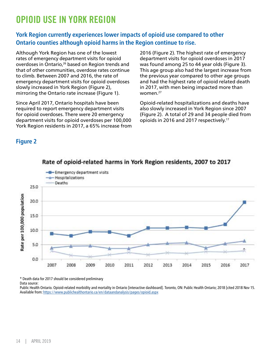### OPIOID USE IN YORK REGION

#### **York Region currently experiences lower impacts of opioid use compared to other Ontario counties although opioid harms in the Region continue to rise.**

Although York Region has one of the lowest rates of emergency department visits for opioid overdoses in Ontario,<sup>26</sup> based on Region trends and that of other communities, overdose rates continue to climb. Between 2007 and 2016, the rate of emergency department visits for opioid overdoses slowly increased in York Region (Figure 2), mirroring the Ontario rate increase (Figure 1).

Since April 2017, Ontario hospitals have been required to report emergency department visits for opioid overdoses. There were 20 emergency department visits for opioid overdoses per 100,000 York Region residents in 2017, a 65% increase from 2016 (Figure 2). The highest rate of emergency department visits for opioid overdoses in 2017 was found among 25 to 44 year olds (Figure 3). This age group also had the largest increase from the previous year compared to other age groups and had the highest rate of opioid related death in 2017, with men being impacted more than women.<sup>27</sup>

Opioid-related hospitalizations and deaths have also slowly increased in York Region since 2007 (Figure 2). A total of 29 and 34 people died from opioids in 2016 and 2017 respectively.17

#### **Figure 2**



#### Rate of opioid-related harms in York Region residents, 2007 to 2017

\* Death data for 2017 should be considered preliminary

Data source:

Public Health Ontario. Opioid-related morbidity and mortality in Ontario [interactive dashboard]. Toronto, ON: Public Health Ontario; 2018 [cited 2018 Nov 15. Available from: https://www.publichealthontario.ca/en/dataandanalysis/pages/opioid.aspx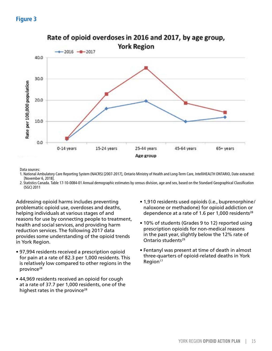

Data sources:

- 1. National Ambulatory Care Reporting System (NACRS) [2007-2017], Ontario Ministry of Health and Long-Term Care, IntelliHEALTH ONTARIO, Date extracted: [November 6, 2018].
- 2. Statistics Canada. Table 17-10-0084-01 Annual demographic estimates by census division, age and sex, based on the Standard Geographical Classification (SGC) 2011

Addressing opioid harms includes preventing problematic opioid use, overdoses and deaths, helping individuals at various stages of and reasons for use by connecting people to treatment, health and social services, and providing harm reduction services. The following 2017 data provides some understanding of the opioid trends in York Region.

- 97,994 residents received a prescription opioid for pain at a rate of 82.3 per 1,000 residents. This is relatively low compared to other regions in the province<sup>28</sup>
- 44,969 residents received an opioid for cough at a rate of 37.7 per 1,000 residents, one of the highest rates in the province $^{28}$
- 1,910 residents used opioids (i.e., buprenorphine/ naloxone or methadone) for opioid addiction or dependence at a rate of 1.6 per 1,000 residents<sup>28</sup>
- 10% of students (Grades 9 to 12) reported using prescription opioids for non-medical reasons in the past year, slightly below the 12% rate of Ontario students29
- Fentanyl was present at time of death in almost three-quarters of opioid-related deaths in York Region<sup>17</sup>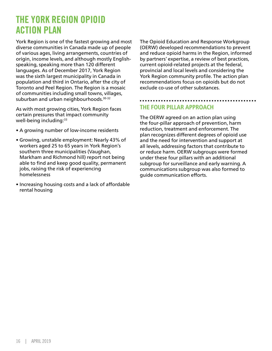### THE YORK REGION OPIOID ACTION PLAN

York Region is one of the fastest growing and most diverse communities in Canada made up of people of various ages, living arrangements, countries of origin, income levels, and although mostly Englishspeaking, speaking more than 120 different languages. As of December 2017, York Region was the sixth largest municipality in Canada in population and third in Ontario, after the city of Toronto and Peel Region. The Region is a mosaic of communities including small towns, villages, suburban and urban neighbourhoods.<sup>30-32</sup>

As with most growing cities, York Region faces certain pressures that impact community well-being including: 33

- A growing number of low-income residents
- Growing, unstable employment: Nearly 43% of workers aged 25 to 65 years in York Region's southern three municipalities (Vaughan, Markham and Richmond hill) report not being able to find and keep good quality, permanent jobs, raising the risk of experiencing homelessness
- Increasing housing costs and a lack of affordable rental housing

The Opioid Education and Response Workgroup (OERW) developed recommendations to prevent and reduce opioid harms in the Region, informed by partners' expertise, a review of best practices, current opioid-related projects at the federal, provincial and local levels and considering the York Region community profile. The action plan recommendations focus on opioids but do not exclude co-use of other substances.

#### **THE FOUR PILLAR APPROACH**

The OERW agreed on an action plan using the four-pillar approach of prevention, harm reduction, treatment and enforcement. The plan recognizes different degrees of opioid use and the need for intervention and support at all levels, addressing factors that contribute to or reduce harm. OERW subgroups were formed under these four pillars with an additional subgroup for surveillance and early warning. A communications subgroup was also formed to guide communication efforts.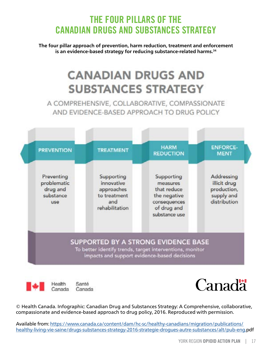### THE FOUR PILLARS OF THE CANADIAN DRUGS AND SUBSTANCES STRATEGY

**The four pillar approach of prevention, harm reduction, treatment and enforcement is an evidence-based strategy for reducing substance-related harms. 34**

## **CANADIAN DRUGS AND SUBSTANCES STRATEGY**

A COMPREHENSIVE, COLLABORATIVE, COMPASSIONATE AND EVIDENCE-BASED APPROACH TO DRUG POLICY



Health Canada

Santé

Canada



© Health Canada. Infographic: Canadian Drug and Substances Strategy: A Comprehensive, collaborative, compassionate and evidence-based approach to drug policy, 2016. Reproduced with permission.

Available from: [https://www.canada.ca/content/dam/hc-sc/healthy-canadians/migration/publications/](https://www.canada.ca/content/dam/hc-sc/healthy-canadians/migration/publications/healthy-living-vie-saine/drugs-substances-strategy-2016-strategie-drogues-autre-substances/alt/pub-eng.pdf) [healthy-living-vie-saine/drugs-substances-strategy-2016-strategie-drogues-autre-substances/alt/pub-eng.](https://www.canada.ca/content/dam/hc-sc/healthy-canadians/migration/publications/healthy-living-vie-saine/drugs-substances-strategy-2016-strategie-drogues-autre-substances/alt/pub-eng.pdf)pdf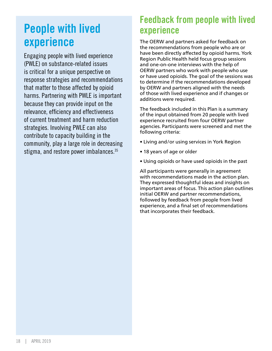## People with lived experience

Engaging people with lived experience (PWLE) on substance-related issues is critical for a unique perspective on response strategies and recommendations that matter to those affected by opioid harms. Partnering with PWLE is important because they can provide input on the relevance, efficiency and effectiveness of current treatment and harm reduction strategies. Involving PWLE can also contribute to capacity building in the community, play a large role in decreasing stigma, and restore power imbalances.<sup>35</sup>

### Feedback from people with lived experience

The OERW and partners asked for feedback on the recommendations from people who are or have been directly affected by opioid harms. York Region Public Health held focus group sessions and one-on-one interviews with the help of OERW partners who work with people who use or have used opioids. The goal of the sessions was to determine if the recommendations developed by OERW and partners aligned with the needs of those with lived experience and if changes or additions were required.

The feedback included in this Plan is a summary of the input obtained from 20 people with lived experience recruited from four OERW partner agencies. Participants were screened and met the following criteria:

- Living and/or using services in York Region
- 18 years of age or older
- Using opioids or have used opioids in the past

All participants were generally in agreement with recommendations made in the action plan. They expressed thoughtful ideas and insights on important areas of focus. This action plan outlines initial OERW and partner recommendations, followed by feedback from people from lived experience, and a final set of recommendations that incorporates their feedback.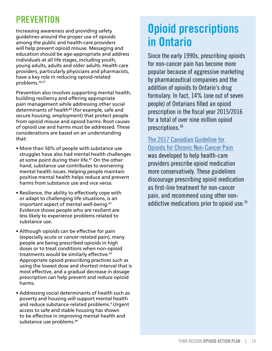### **PREVENTION**

Increasing awareness and providing safety guidelines around the proper use of opioids among the public and health-care providers will help prevent opioid misuse. Messaging and education should be age-appropriate and address individuals at all life stages, including youth, young adults, adults and older adults. Health care providers, particularly physicians and pharmacists, have a key role in reducing opioid-related problems.36,37

Prevention also involves supporting mental health, building resiliency and offering appropriate pain management while addressing other social determinants of health<sup>40</sup> (for example, safe and secure housing, employment) that protect people from opioid misuse and opioid harms. Root causes of opioid use and harms must be addressed. These considerations are based on an understanding that:

- More than 50% of people with substance use struggles have also had mental health challenges at some point during their life.<sup>41</sup> On the other hand, substance use contributes to worsening mental health issues. Helping people maintain positive mental health helps reduce and prevent harms from substance use and vice versa.
- Resilience, the ability to effectively cope with or adapt to challenging life situations, is an important aspect of mental well-being.<sup>42</sup> Evidence shows people who are resilient are less likely to experience problems related to substance use.
- Although opioids can be effective for pain (especially acute or cancer-related pain), many people are being prescribed opioids in high doses or to treat conditions when non-opioid treatments would be similarly effective.<sup>43</sup> Appropriate opioid prescribing practices such as using the lowest dose and shortest interval that is most effective, and a gradual decrease in dosage prescription can help prevent and reduce opioid harms.
- Addressing social determinants of health such as poverty and housing will support mental health and reduce substance-related problems.<sup>9</sup> Urgent access to safe and stable housing has shown to be effective in improving mental health and substance use problems.<sup>44</sup>

## Opioid prescriptions in Ontario

Since the early 1990s, prescribing opioids for non-cancer pain has become more popular because of aggressive marketing by pharmaceutical companies and the addition of opioids to Ontario's drug formulary. In fact, 14% (one out of seven people) of Ontarians filled an opioid prescription in the fiscal year 2015/2016 for a total of over nine million opioid prescriptions.38

#### [The 2017 Canadian Guideline for](http://nationalpaincentre.mcmaster.ca/guidelines.html)  [Opioids for Chronic Non-Cancer Pain](http://nationalpaincentre.mcmaster.ca/guidelines.html)

was developed to help health-care providers prescribe opioid medication more conservatively. These guidelines discourage prescribing opioid medication as first-line treatment for non-cancer pain, and recommend using other nonaddictive medications prior to opioid use.<sup>39</sup>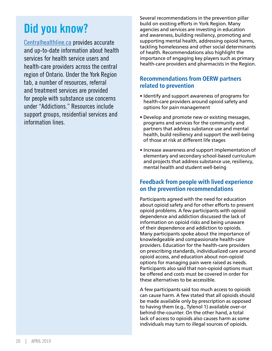## Did you know?

[Centralhealthline.ca](https://www.centralhealthline.ca/listCategories.aspx?id=10011) provides accurate and up-to-date information about health services for health service users and health-care providers across the central region of Ontario. Under the York Region tab, a number of resources, referral and treatment services are provided for people with substance use concerns under "Addictions." Resources include support groups, residential services and information lines.

Several recommendations in the prevention pillar build on existing efforts in York Region. Many agencies and services are investing in education and awareness, building resiliency, promoting and supporting mental health, addressing opioid harms, tackling homelessness and other social determinants of health. Recommendations also highlight the importance of engaging key players such as primary health-care providers and pharmacists in the Region.

#### **Recommendations from OERW partners related to prevention**

- Identify and support awareness of programs for health-care providers around opioid safety and options for pain management
- Develop and promote new or existing messages, programs and services for the community and partners that address substance use and mental health, build resiliency and support the well-being of those at risk at different life stages
- Increase awareness and support implementation of elementary and secondary school-based curriculum and projects that address substance use, resiliency, mental health and student well-being

#### **Feedback from people with lived experience on the prevention recommendations**

Participants agreed with the need for education about opioid safety and for other efforts to prevent opioid problems. A few participants with opioid dependence and addiction discussed the lack of information on opioid risks and being unaware of their dependence and addiction to opioids. Many participants spoke about the importance of knowledgeable and compassionate health-care providers. Education for the health-care providers on prescribing standards, individualized care around opioid access, and education about non-opioid options for managing pain were raised as needs. Participants also said that non-opioid options must be offered and costs must be covered in order for these alternatives to be accessible.

A few participants said too much access to opioids can cause harm. A few stated that all opioids should be made available only by prescription as opposed to having them (e.g., Tylenol 1) available over-or behind-the-counter. On the other hand, a total lack of access to opioids also causes harm as some individuals may turn to illegal sources of opioids.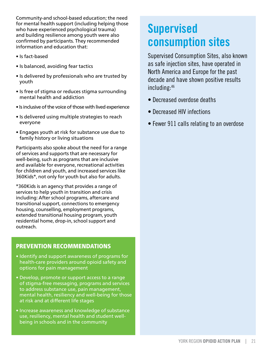Community-and school-based education; the need for mental health support (including helping those who have experienced psychological trauma) and building resilience among youth were also confirmed by participants. They recommended information and education that:

- Is fact-based
- Is balanced, avoiding fear tactics
- Is delivered by professionals who are trusted by youth
- Is free of stigma or reduces stigma surrounding mental health and addiction
- Is inclusive of the voice of those with lived experience
- Is delivered using multiple strategies to reach everyone
- Engages youth at risk for substance use due to family history or living situations

Participants also spoke about the need for a range of services and supports that are necessary for well-being, such as programs that are inclusive and available for everyone, recreational activities for children and youth, and increased services like 360Kids\*, not only for youth but also for adults.

\*360Kids is an agency that provides a range of services to help youth in transition and crisis including: After school programs, aftercare and transitional support, connections to emergency housing, counselling, employment programs, extended transitional housing program, youth residential home, drop-in, school support and outreach.

#### PREVENTION RECOMMENDATIONS

- Identify and support awareness of programs for health-care providers around opioid safety and options for pain management
- Develop, promote or support access to a range of stigma-free messaging, programs and services to address substance use, pain management, mental health, resiliency and well-being for those at risk and at different life stages
- Increase awareness and knowledge of substance use, resiliency, mental health and student wellbeing in schools and in the community

## **Supervised** consumption sites

Supervised Consumption Sites, also known as safe injection sites, have operated in North America and Europe for the past decade and have shown positive results including:46

- Decreased overdose deaths
- Decreased HIV infections
- Fewer 911 calls relating to an overdose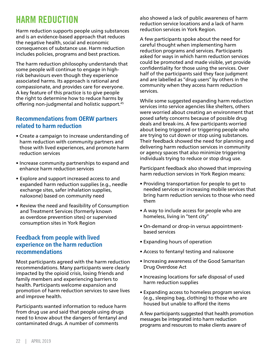### HARM REDUCTION

Harm reduction supports people using substances and is an evidence-based approach that reduces the negative health, social and economic consequences of substance use. Harm reduction includes policies, programs and best practices.

The harm reduction philosophy understands that some people will continue to engage in highrisk behaviours even though they experience associated harms. Its approach is rational and compassionate, and provides care for everyone. A key feature of this practice is to give people the right to determine how to reduce harms by offering non-judgmental and holistic support.45

#### **Recommendations from OERW partners related to harm reduction**

- Create a campaign to increase understanding of harm reduction with community partners and those with lived experiences, and promote harm reduction services
- Increase community partnerships to expand and enhance harm reduction services
- Explore and support increased access to and expanded harm reduction supplies (e.g., needle exchange sites, safer inhalation supplies, naloxone) based on community need
- Review the need and feasibility of Consumption and Treatment Services (formerly known as overdose prevention sites) or supervised consumption sites in York Region

#### **Feedback from people with lived experience on the harm reduction recommendations**

Most participants agreed with the harm reduction recommendations. Many participants were clearly impacted by the opioid crisis, losing friends and family members and experiencing barriers to health. Participants welcome expansion and promotion of harm reduction services to save lives and improve health.

Participants wanted information to reduce harm from drug use and said that people using drugs need to know about the dangers of fentanyl and contaminated drugs. A number of comments

also showed a lack of public awareness of harm reduction service locations and a lack of harm reduction services in York Region.

A few participants spoke about the need for careful thought when implementing harm reduction programs and services. Participants asked for ways in which harm reduction services could be promoted and made visible, yet provide confidentiality for those using the services. Over half of the participants said they face judgment and are labelled as "drug users" by others in the community when they access harm reduction services.

While some suggested expanding harm reduction services into service agencies like shelters, others were worried about creating an environment that posed safety concerns because of possible drug deals and break-ins. A few participants worried about being triggered or triggering people who are trying to cut down or stop using substances. Their feedback showed the need for planning and delivering harm reduction services in community or agency spaces that also minimize triggering individuals trying to reduce or stop drug use.

Participant feedback also showed that improving harm reduction services in York Region means:

- Providing transportation for people to get to needed services or increasing mobile services that bring harm reduction services to those who need them
- A way to include access for people who are homeless, living in "tent city"
- On-demand or drop-in versus appointmentbased services
- Expanding hours of operation
- Access to fentanyl testing and naloxone
- Increasing awareness of the Good Samaritan Drug Overdose Act
- Increasing locations for safe disposal of used harm reduction supplies
- Expanding access to homeless program services (e.g., sleeping bag, clothing) to those who are housed but unable to afford the items

A few participants suggested that health promotion messages be integrated into harm reduction programs and resources to make clients aware of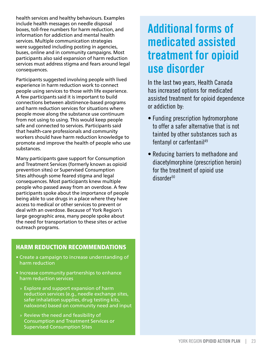health services and healthy behaviours. Examples include health messages on needle disposal boxes, toll-free numbers for harm reduction, and information for addiction and mental health services. Multiple communication strategies were suggested including posting in agencies, buses, online and in community campaigns. Most participants also said expansion of harm reduction services must address stigma and fears around legal consequences.

Participants suggested involving people with lived experience in harm reduction work to connect people using services to those with life experience. A few participants said it is important to build connections between abstinence-based programs and harm reduction services for situations where people move along the substance use continuum from not using to using. This would keep people safe and connected to services. Participants said that health-care professionals and community workers should have harm reduction knowledge to promote and improve the health of people who use substances.

Many participants gave support for Consumption and Treatment Services (formerly known as opioid prevention sites) or Supervised Consumption Sites although some feared stigma and legal consequences. Most participants knew multiple people who passed away from an overdose. A few participants spoke about the importance of people being able to use drugs in a place where they have access to medical or other services to prevent or deal with an overdose. Because of York Region's large geographic area, many people spoke about the need for transportation to these sites or active outreach programs.

#### HARM REDUCTION RECOMMENDATIONS

- Create a campaign to increase understanding of harm reduction
- Increase community partnerships to enhance harm reduction services
- » Explore and support expansion of harm reduction services (e.g., needle exchange sites, safer inhalation supplies, drug testing kits, naloxone) based on community need and input
- » Review the need and feasibility of Consumption and Treatment Services or Supervised Consumption Sites

## Additional forms of medicated assisted treatment for opioid use disorder

In the last two years, Health Canada has increased options for medicated assisted treatment for opioid dependence or addiction by:

- Funding prescription hydromorphone to offer a safer alternative that is not tainted by other substances such as fentanyl or carfentanil<sup>49</sup>
- Reducing barriers to methadone and diacetylmorphine (prescription heroin) for the treatment of opioid use disorder<sup>50</sup>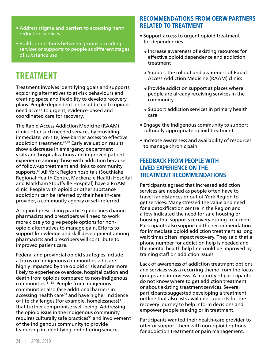- Address stigma and barriers to accessing harm reduction services
- Build connections between groups providing services or supports to people at different stages of substance use

### TREATMENT

Treatment involves identifying goals and supports, exploring alternatives to at-risk behaviours and creating space and flexibility to develop recovery plans. People dependent on or addicted to opioids need access to urgent, evidence-based and coordinated care for recovery.

The Rapid Access Addiction Medicine (RAAM) clinics offer such needed services by providing immediate, on-site, low-barrier access to effective addiction treatment.<sup>47,48</sup> Early evaluation results show a decrease in emergency department visits and hospitalizations and improved patient experience among those with addiction because of follow-up treatment and links to community supports.48 All York Region hospitals (Southlake Regional Health Centre, Mackenzie Health Hospital and Markham Stouffville Hospital) have a RAAM clinic. People with opioid or other substance addictions can be referred by their health-care provider, a community agency or self-referred.

As opioid prescribing practice guidelines change, pharmacists and prescribers will need to work more closely to give people options for nonopioid alternatives to manage pain. Efforts to support knowledge and skill development among pharmacists and prescribers will contribute to improved patient care.

Federal and provincial opioid strategies include a focus on Indigenous communities who are highly impacted by the opioid crisis and are more likely to experience overdose, hospitalization and death from opioids compared to non-Indigenous communities.51-53 People from Indigenous communities also face additional barriers in accessing health care<sup>54</sup> and have higher incidence of life challenges (for example, homelessness)<sup>33</sup> that further compromise well-being. Addressing the opioid issue in the Indigenous community requires culturally safe practices<sup>55</sup> and involvement of the Indigenous community to provide leadership in identifying and offering services.

#### **RECOMMENDATIONS FROM OERW PARTNERS RELATED TO TREATMENT**

- Support access to urgent opioid treatment for dependencies
	- ➜ Increase awareness of existing resources for effective opioid dependence and addiction treatment
	- ➜ Support the rollout and awareness of Rapid Access Addiction Medicine (RAAM) clinics
	- ➜ Provide addiction support at places where people are already receiving services in the community
	- ➜ Support addiction services in primary health care
- Engage the Indigenous community to support culturally-appropriate opioid treatment
- Increase awareness and availability of resources to manage chronic pain

#### **FEEDBACK FROM PEOPLE WITH LIVED EXPERIENCE ON THE TREATMENT RECOMMENDATIONS**

Participants agreed that increased addiction services are needed as people often have to travel far distances or out of York Region to get services. Many stressed the value and need for a detoxification centre in the Region and a few indicated the need for safe housing or housing that supports recovery during treatment. Participants also supported the recommendation for immediate opioid addiction treatment as long wait times often impact recovery. They said that a phone number for addiction help is needed and the mental health help line could be improved by training staff on addiction issues.

Lack of awareness of addiction treatment options and services was a recurring theme from the focus groups and interviews. A majority of participants do not know where to get addiction treatment or about existing treatment services. Several participants suggested developing a treatment outline that also lists available supports for the recovery journey to help inform decisions and empower people seeking or in treatment.

Participants wanted their health-care provider to offer or support them with non-opioid options for addiction treatment or pain management.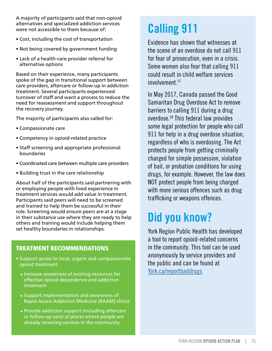A majority of participants said that non-opioid alternatives and specialized addiction services were not accessible to them because of:

- Cost, including the cost of transportation
- Not being covered by government funding
- Lack of a health-care provider referral for alternative options

Based on their experience, many participants spoke of the gap in transitional support between care providers, aftercare or follow-up in addiction treatment. Several participants experienced turnover of staff and want a process to reduce the need for reassessment and support throughout the recovery journey.

The majority of participants also called for:

- Compassionate care
- Competency in opioid-related practice
- Staff screening and appropriate professional boundaries
- Coordinated care between multiple care providers
- Building trust in the care relationship

About half of the participants said partnering with or employing people with lived experience in treatment services would add value in treatment. Participants said peers will need to be screened and trained to help them be successful in their role. Screening would ensure peers are at a stage in their substance use where they are ready to help others and training would include helping them set healthy boundaries in relationships.

#### TREATMENT RECOMMENDATIONS

- Support access to local, urgent and compassionate opioid treatment
	- ➜ Increase awareness of existing resources for effective opioid dependence and addiction treatment
	- ➜ Support implementation and awareness of Rapid Access Addiction Medicine (RAAM) clinics
	- ➜ Provide addiction support (including aftercare or follow-up care) at places where people are already receiving services in the community

## Calling 911

Evidence has shown that witnesses at the scene of an overdose do not call 911 for fear of prosecution, even in a crisis. Some women also fear that calling 911 could result in child welfare services involvement.<sup>57</sup>

In May 2017, Canada passed the Good Samaritan Drug Overdose Act to remove barriers to calling 911 during a drug overdose.58 This federal law provides some legal protection for people who call 911 for help in a drug overdose situation, regardless of who is overdosing. The Act protects people from getting criminally charged for simple possession, violation of bail, or probation conditions for using drugs, for example. However, the law does NOT protect people from being charged with more serious offences such as drug trafficking or weapons offences.

## Did you know?

York Region Public Health has developed a tool to report opioid-related concerns in the community. This tool can be used anonymously by service providers and the public and can be found at [York.ca/reportbaddrugs](https://chs-survey.york.ca/snapwebhost/s.asp?k=154169240169)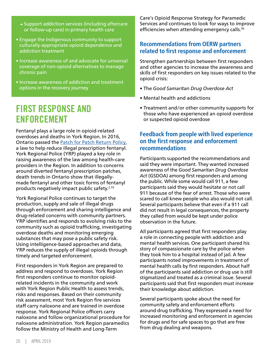- ➜ Support addiction services (including aftercare or follow-up care) in primary health care
- Engage the Indigenous community to support culturally-appropriate opioid dependence and addiction treatment
- Increase awareness of and advocate for universal coverage of non-opioid alternatives to manage chronic pain
- Increase awareness of addiction and treatment options in the recovery journey

### FIRST RESPONSE AND ENFORCEMENT

Fentanyl plays a large role in opioid-related overdoses and deaths in York Region. In 2016, Ontario passed the [Patch for Patch Return Policy,](https://www.ontario.ca/laws/statute/15s33) a law to help reduce illegal prescription fentanyl. York Regional Police (YRP) played a key role in raising awareness of the law among health-care providers in the Region. In addition to concerns around diverted fentanyl prescription patches, death trends in Ontario show that illegallymade fentanyl and other toxic forms of fentanyl products negatively impact public safety.2,19

York Regional Police continues to target the production, supply and sale of illegal drugs through enforcement and sharing intelligence and drug-related concerns with community partners. YRP identifies and responds to evolving risks to the community such as opioid trafficking, investigating overdose deaths and monitoring emerging substances that may pose a public safety risk. Using intelligence-based approaches and data, YRP reduces the supply of illegal opioids through timely and targeted enforcement.

First responders in York Region are prepared to address and respond to overdoses. York Region first responders continue to monitor opioidrelated incidents in the community and work with York Region Public Health to assess trends, risks and responses. Based on their community risk assessment, most York Region fire services staff carry naloxone and are trained in overdose response. York Regional Police officers carry naloxone and follow organizational procedure for naloxone administration. York Region paramedics follow the Ministry of Health and Long-Term

Care's Opioid Response Strategy for Paramedic Services and continues to look for ways to improve efficiencies when attending emergency calls.<sup>56</sup>

#### **Recommendations from OERW partners related to first response and enforcement**

Strengthen partnerships between first responders and other agencies to increase the awareness and skills of first responders on key issues related to the opioid crisis:

- The *Good Samaritan Drug Overdose Act*
- Mental health and addictions
- Treatment and/or other community supports for those who have experienced an opioid overdose or suspected opioid overdose

#### **Feedback from people with lived experience on the first response and enforcement recommendations**

Participants supported the recommendations and said they were important. They wanted increased awareness of the *Good Samaritan Drug Overdose Act* (GSDOA) among first responders and among the public. While some would call 911, a few participants said they would hesitate or not call 911 because of the fear of arrest. Those who were scared to call knew people who also would not call. Several participants believe that even if a 911 call did not result in legal consequences, the property they called from would be kept under police observation in the future.

All participants agreed that first responders play a role in connecting people with addiction and mental health services. One participant shared his story of compassionate care by the police when they took him to a hospital instead of jail. A few participants noted improvements in treatment of mental health calls by first responders. About half of the participants said addiction or drug use is still stigmatized and treated as a criminal issue. Several participants said that first responders must increase their knowledge about addiction.

Several participants spoke about the need for community safety and enforcement efforts around drug trafficking. They expressed a need for increased monitoring and enforcement in agencies for drugs and for safe spaces to go that are free from drug dealing and weapons.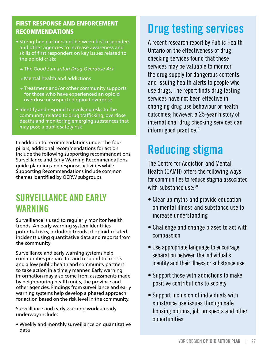#### FIRST RESPONSE AND ENFORCEMENT RECOMMENDATIONS

- Strengthen partnerships between first responders and other agencies to increase awareness and skills of first responders on key issues related to the opioid crisis:
	- ➜ The *Good Samaritan Drug Overdose Act*
	- ➜ Mental health and addictions
	- ➜ Treatment and/or other community supports for those who have experienced an opioid overdose or suspected opioid overdose
- Identify and respond to evolving risks to the community related to drug trafficking, overdose deaths and monitoring emerging substances that may pose a public safety risk

In addition to recommendations under the four pillars, additional recommendations for action include the following supporting recommendations. Surveillance and Early Warning Recommendations guide planning and response activities while Supporting Recommendations include common themes identified by OERW subgroups.

### SURVEILLANCE AND EARLY WARNING

Surveillance is used to regularly monitor health trends. An early warning system identifies potential risks, including trends of opioid-related incidents using quantitative data and reports from the community.

Surveillance and early warning systems help communities prepare for and respond to a crisis and allow public health and community partners to take action in a timely manner. Early warning information may also come from assessments made by neighbouring health units, the province and other agencies. Findings from surveillance and early warning systems help develop a phased approach for action based on the risk level in the community.

Surveillance and early warning work already underway include:

• Weekly and monthly surveillance on quantitative data

## Drug testing services

A recent research report by Public Health Ontario on the effectiveness of drug checking services found that these services may be valuable to monitor the drug supply for dangerous contents and issuing health alerts to people who use drugs. The report finds drug testing services have not been effective in changing drug use behaviour or health outcomes; however, a 25-year history of international drug checking services can inform good practice.<sup>61</sup>

## Reducing stigma

The Centre for Addiction and Mental Health (CAMH) offers the following ways for communities to reduce stigma associated with substance use:<sup>60</sup>

- Clear up myths and provide education on mental illness and substance use to increase understanding
- Challenge and change biases to act with compassion
- Use appropriate language to encourage separation between the individual's identity and their illness or substance use
- Support those with addictions to make positive contributions to society
- Support inclusion of individuals with substance use issues through safe housing options, job prospects and other opportunities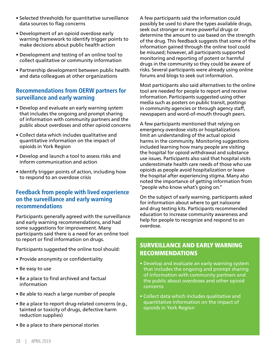- Selected thresholds for quantitative surveillance data sources to flag concerns
- Development of an opioid overdose early warning framework to identify trigger points to make decisions about public health action
- Development and testing of an online tool to collect qualitative or community information
- Partnership development between public health and data colleagues at other organizations

#### **Recommendations from OERW partners for surveillance and early warning**

- Develop and evaluate an early warning system that includes the ongoing and prompt sharing of information with community partners and the public about overdoses and other opioid concerns
- Collect data which includes qualitative and quantitative information on the impact of opioids in York Region
- Develop and launch a tool to assess risks and inform communication and action
- Identify trigger points of action, including how to respond to an overdose crisis

#### **Feedback from people with lived experience on the surveillance and early warning recommendations**

Participants generally agreed with the surveillance and early warning recommendations, and had some suggestions for improvement. Many participants said there is a need for an online tool to report or find information on drugs.

Participants suggested the online tool should:

- Provide anonymity or confidentiality
- Be easy to use
- Be a place to find archived and factual information
- Be able to reach a large number of people
- Be a place to report drug-related concerns (e.g., tainted or toxicity of drugs, defective harm reduction supplies)
- Be a place to share personal stories

A few participants said the information could possibly be used to share the types available drugs, seek out stronger or more powerful drugs or determine the amount to use based on the strength of the drug. This feedback suggests that some of the information gained through the online tool could be misused; however, all participants supported monitoring and reporting of potent or harmful drugs in the community so they could be aware of risks. Several participants were already using online forums and blogs to seek out information.

Most participants also said alternatives to the online tool are needed for people to report and receive information. Participants suggested using other media such as posters on public transit, postings in community agencies or through agency staff, newspapers and word-of-mouth through peers.

A few participants mentioned that relying on emergency overdose visits or hospitalizations limit an understanding of the actual opioid harms in the community. Monitoring suggestions included learning how many people are visiting the hospital for opioid withdrawal and substance use issues. Participants also said that hospital visits underestimate health care needs of those who use opioids as people avoid hospitalization or leave the hospital after experiencing stigma. Many also noted the importance of getting information from "people who know what's going on."

On the subject of early warning, participants asked for information about where to get naloxone and drug testing kits. Participants recommended education to increase community awareness and help for people to recognize and respond to an overdose.

#### SURVEILLANCE AND EARLY WARNING RECOMMENDATIONS

- Develop and evaluate an early warning system that includes the ongoing and prompt sharing of information with community partners and the public about overdoses and other opioid concerns
- Collect data which includes qualitative and quantitative information on the impact of opioids in York Region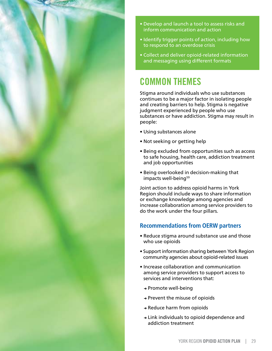

- Develop and launch a tool to assess risks and inform communication and action
- Identify trigger points of action, including how to respond to an overdose crisis
- Collect and deliver opioid-related information and messaging using different formats

### COMMON THEMES

Stigma around individuals who use substances continues to be a major factor in isolating people and creating barriers to help. Stigma is negative judgment experienced by people who use substances or have addiction. Stigma may result in people:

- Using substances alone
- Not seeking or getting help
- Being excluded from opportunities such as access to safe housing, health care, addiction treatment and job opportunities
- Being overlooked in decision-making that impacts well-being<sup>59</sup>

Joint action to address opioid harms in York Region should include ways to share information or exchange knowledge among agencies and increase collaboration among service providers to do the work under the four pillars.

#### **Recommendations from OERW partners**

- Reduce stigma around substance use and those who use opioids
- Support information sharing between York Region community agencies about opioid-related issues
- Increase collaboration and communication among service providers to support access to services and interventions that:
	- ➜ Promote well-being
	- ➜ Prevent the misuse of opioids
	- ➜ Reduce harm from opioids
	- ➜ Link individuals to opioid dependence and addiction treatment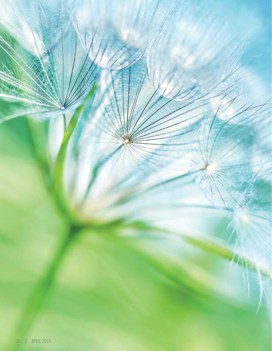![](_page_29_Picture_0.jpeg)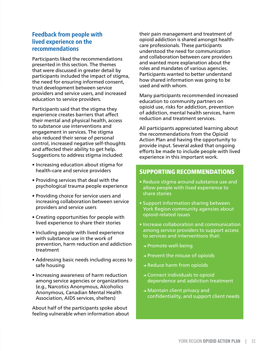#### **Feedback from people with lived experience on the recommendations**

Participants liked the recommendations presented in this section. The themes that were discussed in greater detail by participants included the impact of stigma, the need for ensuring informed consent, trust development between service providers and service users, and increased education to service providers.

Participants said that the stigma they experience creates barriers that affect their mental and physical health, access to substance use interventions and engagement in services. The stigma also reduced their sense of personal control, increased negative self-thoughts and affected their ability to get help. Suggestions to address stigma included:

- Increasing education about stigma for health-care and service providers
- Providing services that deal with the psychological trauma people experience
- Providing choice for service users and increasing collaboration between service providers and service users
- Creating opportunities for people with lived experience to share their stories
- Including people with lived experience with substance use in the work of prevention, harm reduction and addiction treatment
- Addressing basic needs including access to safe housing
- Increasing awareness of harm reduction among service agencies or organizations (e.g., Narcotics Anonymous, Alcoholics Anonymous, Canadian Mental Health Association, AIDS services, shelters)

About half of the participants spoke about feeling vulnerable when information about their pain management and treatment of opioid addiction is shared amongst healthcare professionals. These participants understood the need for communication and collaboration between care providers and wanted more explanation about the roles and mandates of various agencies. Participants wanted to better understand how shared information was going to be used and with whom.

Many participants recommended increased education to community partners on opioid use, risks for addiction, prevention of addiction, mental health services, harm reduction and treatment services.

All participants appreciated learning about the recommendations from the Opioid Action Plan and having the opportunity to provide input. Several asked that ongoing efforts be made to include people with lived experience in this important work.

#### SUPPORTING RECOMMENDATIONS

- Reduce stigma around substance use and allow people with lived experience to share stories
- Support information sharing between York Region community agencies about opioid-related issues
- Increase collaboration and communication among service providers to support access to services and interventions that:
	- ➜ Promote well-being
	- ➜ Prevent the misuse of opioids
	- ➜ Reduce harm from opioids
	- ➜ Connect individuals to opioid dependence and addiction treatment
	- ➜ Maintain client privacy and confidentiality, and support client needs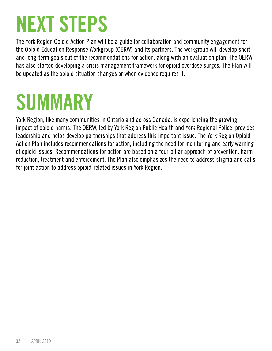# NEXT STEPS

The York Region Opioid Action Plan will be a guide for collaboration and community engagement for the Opioid Education Response Workgroup (OERW) and its partners. The workgroup will develop shortand long-term goals out of the recommendations for action, along with an evaluation plan. The OERW has also started developing a crisis management framework for opioid overdose surges. The Plan will be updated as the opioid situation changes or when evidence requires it.

# **SUMMARY**

York Region, like many communities in Ontario and across Canada, is experiencing the growing impact of opioid harms. The OERW, led by York Region Public Health and York Regional Police, provides leadership and helps develop partnerships that address this important issue. The York Region Opioid Action Plan includes recommendations for action, including the need for monitoring and early warning of opioid issues. Recommendations for action are based on a four-pillar approach of prevention, harm reduction, treatment and enforcement. The Plan also emphasizes the need to address stigma and calls for joint action to address opioid-related issues in York Region.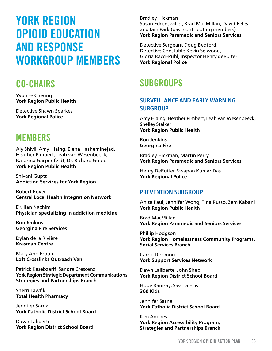### YORK REGION OPIOID EDUCATION AND RESPONSE WORKGROUP MEMBERS

### CO-CHAIRS

Yvonne Cheung **York Region Public Health**

Detective Shawn Sparkes **York Regional Police**

### **MEMBERS**

Aly Shivji, Amy Hlaing, Elena Hasheminejad, Heather Pimbert, Leah van Wesenbeeck, Katarina Garpenfeldt, Dr. Richard Gould **York Region Public Health**

Shivani Gupta **Addiction Services for York Region**

Robert Royer **Central Local Health Integration Network**

Dr. Ilan Nachim **Physician specializing in addiction medicine**

Ron Jenkins **Georgina Fire Services**

Dylan de la Rivière **Krasman Centre**

Mary Ann Proulx **Loft Crosslinks Outreach Van**

Patrick Kasebzarif, Sandra Crescenzi **York Region Strategic Department Communications, Strategies and Partnerships Branch** 

Sherri Tawfik **Total Health Pharmacy**

Jennifer Sarna **York Catholic District School Board**

Dawn Laliberte **York Region District School Board**

Bradley Hickman Susan Eckenswiller, Brad MacMillan, David Eeles and Iain Park (past contributing members) **York Region Paramedic and Seniors Services**

Detective Sergeant Doug Bedford, Detective Constable Kevin Selwood, Gloria Bacci-Puhl, Inspector Henry deRuiter **York Regional Police**

### **SUBGROUPS**

#### **SURVEILLANCE AND EARLY WARNING SUBGROUP**

Amy Hlaing, Heather Pimbert, Leah van Wesenbeeck, Shelley Stalker **York Region Public Health**

Ron Jenkins **Georgina Fire**

Bradley Hickman, Martin Perry **York Region Paramedic and Seniors Services**

Henry DeRuiter, Swapan Kumar Das **York Regional Police**

#### **PREVENTION SUBGROUP**

Anita Paul, Jennifer Wong, Tina Russo, Zem Kabani **York Region Public Health**

Brad MacMillan **York Region Paramedic and Seniors Services**

Phillip Hodgson **York Region Homelessness Community Programs, Social Services Branch**

Carrie Dinsmore **York Support Services Network** 

Dawn Laliberte, John Shep **York Region District School Board**

Hope Ramsay, Sascha Ellis **360 Kids**

Jennifer Sarna **York Catholic District School Board**

Kim Adeney **York Region Accessibility Program, Strategies and Partnerships Branch**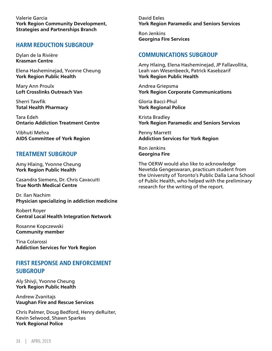Valerie Garcia **York Region Community Development, Strategies and Partnerships Branch**

#### **HARM REDUCTION SUBGROUP**

Dylan de la Rivière **Krasman Centre**

Elena Hasheminejad, Yvonne Cheung **York Region Public Health**

Mary Ann Proulx **Loft Crosslinks Outreach Van**

Sherri Tawfik **Total Health Pharmacy**

Tara Edeh **Ontario Addiction Treatment Centre**

Vibhuti Mehra **AIDS Committee of York Region**

#### **TREATMENT SUBGROUP**

Amy Hlaing, Yvonne Cheung **York Region Public Health** 

Casandra Siemens, Dr. Chris Cavacuiti **True North Medical Centre**

Dr. Ilan Nachim **Physician specializing in addiction medicine**

Robert Royer **Central Local Health Integration Network**

Rosanne Kopczewski **Community member**

Tina Colarossi **Addiction Services for York Region**

#### **FIRST RESPONSE AND ENFORCEMENT SUBGROUP**

Aly Shivji, Yvonne Cheung **York Region Public Health**

Andrew Zvanitajs **Vaughan Fire and Rescue Services**

Chris Palmer, Doug Bedford, Henry deRuiter, Kevin Selwood, Shawn Sparkes **York Regional Police**

David Eeles **York Region Paramedic and Seniors Services**

Ron Jenkins **Georgina Fire Services**

#### **COMMUNICATIONS SUBGROUP**

Amy Hlaing, Elena Hasheminejad, JP Fallavollita, Leah van Wesenbeeck, Patrick Kasebzarif **York Region Public Health**

Andrea Griepsma **York Region Corporate Communications**

Gloria Bacci-Phul **York Regional Police** 

Krista Bradley **York Region Paramedic and Seniors Services**

Penny Marrett **Addiction Services for York Region**

Ron Jenkins **Georgina Fire**

The OERW would also like to acknowledge Nevetda Gengeswaran, practicum student from the University of Toronto's Public Dalla Lana School of Public Health, who helped with the preliminary research for the writing of the report.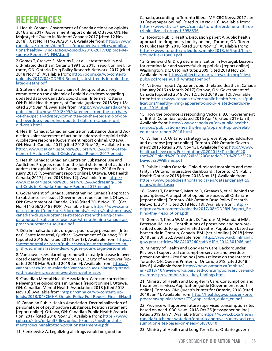### REFERENCES

1. Health Canada. Government of Canada actions on opioids 2016 and 2017 [Government report online]. Ottawa, ON: Her Majesty the Queen in Right of Canada; 2017 [cited 12 Nov 2018]. (Cat No. H14-236/2017E). Available from: [https://www.](https://www.canada.ca/content/dam/hc-sc/documents/services/publications/healthy-living/actions-opioids-2016-2017/Opioids-Response-Report-EN-FINAL.pdf) [canada.ca/content/dam/hc-sc/documents/services/publica](https://www.canada.ca/content/dam/hc-sc/documents/services/publications/healthy-living/actions-opioids-2016-2017/Opioids-Response-Report-EN-FINAL.pdf)[tions/healthy-living/actions-opioids-2016-2017/Opioids-Re](https://www.canada.ca/content/dam/hc-sc/documents/services/publications/healthy-living/actions-opioids-2016-2017/Opioids-Response-Report-EN-FINAL.pdf)[sponse-Report-EN-FINAL.pdf](https://www.canada.ca/content/dam/hc-sc/documents/services/publications/healthy-living/actions-opioids-2016-2017/Opioids-Response-Report-EN-FINAL.pdf)

2.Gomes T, Greaves S, Martins D, et al. Latest trends in opioid-related deaths in Ontario 1991 to 2015 [report online]. Toronto, ON: Ontario Drug Policy Research Network; 2017 [cited 2018 Nov 12]. Available from: [http://odprn.ca/wp-content/](http://odprn.ca/wp-content/uploads/2017/04/ODPRN-Report_Latest-trends-in-opioid-related-deaths.pdf) [uploads/2017/04/ODPRN-Report\\_Latest-trends-in-opioid-re](http://odprn.ca/wp-content/uploads/2017/04/ODPRN-Report_Latest-trends-in-opioid-related-deaths.pdf)[lated-deaths.pdf](http://odprn.ca/wp-content/uploads/2017/04/ODPRN-Report_Latest-trends-in-opioid-related-deaths.pdf)

3. Statement from the co-chairs of the special advisory committee on the epidemic of opioid overdoses regarding updated data on Canada's opioid crisis [Internet]. Ottawa ON: Public Health Agency of Canada [updated 2018 Sept 18; cited 2019 Jan 4]. Available from: [https://www.canada.ca/en/](https://www.canada.ca/en/public-health/news/2018/09/statement-from-the-co-chairs-of-the-special-advisory-committee-on-the-epidemic-of-opioid-overdoses-regarding-updated-data-on-canadas-opioid-crisis.html) [public-health/news/2018/09/statement-from-the-co-chairs](https://www.canada.ca/en/public-health/news/2018/09/statement-from-the-co-chairs-of-the-special-advisory-committee-on-the-epidemic-of-opioid-overdoses-regarding-updated-data-on-canadas-opioid-crisis.html) [-of-the-special-advisory-committee-on-the-epidemic-of-opi](https://www.canada.ca/en/public-health/news/2018/09/statement-from-the-co-chairs-of-the-special-advisory-committee-on-the-epidemic-of-opioid-overdoses-regarding-updated-data-on-canadas-opioid-crisis.html)[oid-overdoses-regarding-updated-data-on-canadas-opi](https://www.canada.ca/en/public-health/news/2018/09/statement-from-the-co-chairs-of-the-special-advisory-committee-on-the-epidemic-of-opioid-overdoses-regarding-updated-data-on-canadas-opioid-crisis.html)[oid-crisis.html](https://www.canada.ca/en/public-health/news/2018/09/statement-from-the-co-chairs-of-the-special-advisory-committee-on-the-epidemic-of-opioid-overdoses-regarding-updated-data-on-canadas-opioid-crisis.html)

4. Health Canada; Canadian Centre on Substance Use and Addiction. Joint statement of action to address the opioid crisis: A collective response [Government report online]. Ottawa, ON: Health Canada; 2017 [cited 2018 Nov 12]. Available from: [http://www.ccsa.ca/Resource%20Library/CCSA-Joint-State](http://www.ccsa.ca/Resource%20Library/CCSA-Joint-Statement-of-Action-Opioid-Crisis-Annual-Report-2017-en.pdf)[ment-of-Action-Opioid-Crisis-Annual-Report-2017-en.pdf](http://www.ccsa.ca/Resource%20Library/CCSA-Joint-Statement-of-Action-Opioid-Crisis-Annual-Report-2017-en.pdf)

5. Health Canada; Canadian Centre on Substance Use and Addiction. Progress report on the joint statement of action to address the opioid crisis in Canada (December 2016 to February 2017) [Government report online]. Ottawa, ON: Health Canada; 2017 [cited 2018 Nov 12]. Available from: [http://](http://www.ccsa.ca/Resource%20Library/CCSA-Addressing-Opioid-Crisis-in-Canada-Summary-Report-2017-en.pdf) [www.ccsa.ca/Resource%20Library/CCSA-Addressing-Opi](http://www.ccsa.ca/Resource%20Library/CCSA-Addressing-Opioid-Crisis-in-Canada-Summary-Report-2017-en.pdf)[oid-Crisis-in-Canada-Summary-Report-2017-en.pdf](http://www.ccsa.ca/Resource%20Library/CCSA-Addressing-Opioid-Crisis-in-Canada-Summary-Report-2017-en.pdf)

6. Government of Canada. Strengthening Canada's approach to substance use issues [Government report online]. Ottawa, ON: Government of Canada; 2018 [cited 2018 Nov 13]. (Cat No. H14-266/2018E-PDF). Available from: [https://www.cana](https://www.canada.ca/content/dam/hc-sc/documents/services/substance-use/canadian-drugs-substances-strategy/strengthening-canada-approach-substance-use-issue/strengthening-canada-approach-substance-use-issue.pdf)[da.ca/content/dam/hc-sc/documents/services/substance-use/](https://www.canada.ca/content/dam/hc-sc/documents/services/substance-use/canadian-drugs-substances-strategy/strengthening-canada-approach-substance-use-issue/strengthening-canada-approach-substance-use-issue.pdf) [canadian-drugs-substances-strategy/strengthening-cana](https://www.canada.ca/content/dam/hc-sc/documents/services/substance-use/canadian-drugs-substances-strategy/strengthening-canada-approach-substance-use-issue/strengthening-canada-approach-substance-use-issue.pdf)[da-approach-substance-use-issue/strengthening-canada-ap](https://www.canada.ca/content/dam/hc-sc/documents/services/substance-use/canadian-drugs-substances-strategy/strengthening-canada-approach-substance-use-issue/strengthening-canada-approach-substance-use-issue.pdf)[proach-substance-use-issue.pdf](https://www.canada.ca/content/dam/hc-sc/documents/services/substance-use/canadian-drugs-substances-strategy/strengthening-canada-approach-substance-use-issue/strengthening-canada-approach-substance-use-issue.pdf)

7. Décriminalisation des drogues pour usage personnel [Internet]. Sante Montreal, Québec: Government of Quebec; 2018 [updated 2018 Jul; cited 2018 Nov 13]. Available from: [https://](https://santemontreal.qc.ca/en/public/news/news/translate-to-english-decriminalisation-des-drogues-pour-usage-personnel/) [santemontreal.qc.ca/en/public/news/news/translate-to-en](https://santemontreal.qc.ca/en/public/news/news/translate-to-english-decriminalisation-des-drogues-pour-usage-personnel/)[glish-decriminalisation-des-drogues-pour-usage-personnel/](https://santemontreal.qc.ca/en/public/news/news/translate-to-english-decriminalisation-des-drogues-pour-usage-personnel/)

8. Vancouver sees alarming trend with steady increase in overdosed deaths [Internet]. Vancouver, BC: City of Vancouver [updated 2018 Mar 9; cited 2019 Jan 9]. Available from: [https://](https://vancouver.ca/news-calendar/vancouver-sees-alarming-trend-with-steady-increase-in-overdose-deaths.aspx) [vancouver.ca/news-calendar/vancouver-sees-alarming-trend](https://vancouver.ca/news-calendar/vancouver-sees-alarming-trend-with-steady-increase-in-overdose-deaths.aspx)[with-steady-increase-in-overdose-deaths.aspx](https://vancouver.ca/news-calendar/vancouver-sees-alarming-trend-with-steady-increase-in-overdose-deaths.aspx)

9. Canadian Mental Health Association. Care not corrections: Relieving the opioid crisis in Canada [report online]. Ottawa, ON: Canadian Mental Health Association; 2018 [cited 2018 Nov 13]. Available from: [https://cmha.ca/wp-content/up](https://cmha.ca/wp-content/uploads/2018/04/CMHA-Opioid-Policy-Full-Report_Final_EN.pdf)[loads/2018/04/CMHA-Opioid-Policy-Full-Report\\_Final\\_EN.pdf](https://cmha.ca/wp-content/uploads/2018/04/CMHA-Opioid-Policy-Full-Report_Final_EN.pdf)

10.Canadian Public Health Association. Decriminalization of personal use of psychoactive substances. Position statement [report online]. Ottawa, ON: Canadian Public Health Association; 2017 [cited 2018 Nov 12]. Available from: [https://www.](https://www.cpha.ca/sites/default/files/uploads/policy/positionstatements/decriminalization-positionstatement-e.pdf) [cpha.ca/sites/default/files/uploads/policy/positionstate](https://www.cpha.ca/sites/default/files/uploads/policy/positionstatements/decriminalization-positionstatement-e.pdf)[ments/decriminalization-positionstatement-e.pdf](https://www.cpha.ca/sites/default/files/uploads/policy/positionstatements/decriminalization-positionstatement-e.pdf)

11. Sienkiewicz A. Legalizing all drugs would be good for

Canada, according to Toronto liberal MP. CBC News. 2017 Jan 31 [newspaper online]. [cited 2018 Nov 13]. Available from: [https://www.cbc.ca/news/canada/toronto/erskine-smith-de](https://www.cbc.ca/news/canada/toronto/erskine-smith-decriminalize-all-drugs-1.3958336)[criminalize-all-drugs-1.3958336](https://www.cbc.ca/news/canada/toronto/erskine-smith-decriminalize-all-drugs-1.3958336)

12. Toronto Public Health. Discussion paper: A public health approach to drug policy [policy online]. Toronto, ON: Toronto Public Health; 2018 [cited 2018 Nov 12]. Available from: [https://www.toronto.ca/legdocs/mmis/2018/hl/bgrd/back](https://www.toronto.ca/legdocs/mmis/2018/hl/bgrd/backgroundfile-118060.pdf)[groundfile-118060.pdf](https://www.toronto.ca/legdocs/mmis/2018/hl/bgrd/backgroundfile-118060.pdf)

13. Greenwald G. Drug decriminalization in Portugal: Lessons for creating fair and successful drug policies [report online]. Washington, DC: Cato Institute; 2009 [cited 2018 Nov 26]. Available from: [https://object.cato.org/sites/cato.org/files/](https://object.cato.org/sites/cato.org/files/pubs/pdf/greenwald_whitepaper.pdf) [pubs/pdf/greenwald\\_whitepaper.pdf](https://object.cato.org/sites/cato.org/files/pubs/pdf/greenwald_whitepaper.pdf)

14. National report: Apparent opioid-related deaths in Canada (January 2016 to March 2017) Ottawa, ON: Government of Canada [updated 2018 Dec 12; cited 2019 Jan 12]. Available from: [https://www.canada.ca/en/public-health/services/pub](https://www.canada.ca/en/public-health/services/publications/healthy-living/apparent-opioid-related-deaths-report-2016.html)[lications/healthy-living/apparent-opioid-related-deaths-re](https://www.canada.ca/en/public-health/services/publications/healthy-living/apparent-opioid-related-deaths-report-2016.html)[port-2016.html](https://www.canada.ca/en/public-health/services/publications/healthy-living/apparent-opioid-related-deaths-report-2016.html)

15. How the province is responding Victoria, B.C.: Government of British Columbia [updated 2016 Apr 16; cited 2019 Jan 3]. Available from: [https://www.canada.ca/en/public-health/](https://www.canada.ca/en/public-health/services/publications/healthy-living/apparent-opioid-related-deaths-report-2016.html) [services/publications/healthy-living/apparent-opioid-relat](https://www.canada.ca/en/public-health/services/publications/healthy-living/apparent-opioid-related-deaths-report-2016.html)[ed-deaths-report-2016.html](https://www.canada.ca/en/public-health/services/publications/healthy-living/apparent-opioid-related-deaths-report-2016.html)

16. Williams D. Ontario's strategy to prevent opioid addiciton and overdose [report online]. Toronto, ON: Ontario Government; 2016 [cited 2018 Nov 13]. Available from: [http://www.](http://www.healthachieve.com/Presentations%202015/Tackling%20the%20Opioid%20Crisis%20in%20Ontario%20-%20Dr.%20David%20Williams.pdf) [healthachieve.com/Presentations%202015/Tackling%20](http://www.healthachieve.com/Presentations%202015/Tackling%20the%20Opioid%20Crisis%20in%20Ontario%20-%20Dr.%20David%20Williams.pdf) [the%20Opioid%20Crisis%20in%20Ontario%20-%20Dr.%20](http://www.healthachieve.com/Presentations%202015/Tackling%20the%20Opioid%20Crisis%20in%20Ontario%20-%20Dr.%20David%20Williams.pdf) [David%20Williams.pdf](http://www.healthachieve.com/Presentations%202015/Tackling%20the%20Opioid%20Crisis%20in%20Ontario%20-%20Dr.%20David%20Williams.pdf)

17. Public Health Ontario. Opioid-related morbidity and mortality in Ontario [interactive dashboard]. Toronto, ON: Public Health Ontario; 2018 [cited 2018 Nov 15]. Available from: [https://www.publichealthontario.ca/en/dataandanalytics/](https://www.publichealthontario.ca/en/dataandanalytics/pages/opioid.aspx) [pages/opioid.aspx](https://www.publichealthontario.ca/en/dataandanalytics/pages/opioid.aspx)

18. Gomes T, Pasricha S, Martins D, Greaves S, et al. Behind the prescriptions: A snapshot of opioid use across all Ontarians [report online]. Toronto, ON: Ontario Drug Policy Research Network; 2017 [cited 2018 Nov 13]. Available from: [http://](http://odprn.ca/wp-content/uploads/2017/08/ODPRN-Report_Behind-the-Prescriptions.pdf) [odprn.ca/wp-content/uploads/2017/08/ODPRN-Report\\_Be](http://odprn.ca/wp-content/uploads/2017/08/ODPRN-Report_Behind-the-Prescriptions.pdf)[hind-the-Prescriptions.pdf](http://odprn.ca/wp-content/uploads/2017/08/ODPRN-Report_Behind-the-Prescriptions.pdf)

19. Gomes T, Khuu W, Martins D, Tadrous M, Mamdani MM, Paterson JM, et al. Contributions of prescribed and non-prescribed opioids to opioid related deaths: Population based cohort study in Ontario, Canada. BMJ [serial online]. 2018 [cited 2019 Jan 30]; 362. Available from: [https://www.ncbi.nlm.nih.](https://www.ncbi.nlm.nih.gov/pmc/articles/PMC4103240/pdf/AJPH.2014.301966.pdf) [gov/pmc/articles/PMC4103240/pdf/AJPH.2014.301966.pdf](https://www.ncbi.nlm.nih.gov/pmc/articles/PMC4103240/pdf/AJPH.2014.301966.pdf)

20.Ministry of Health and Long-Term Care. Backgrounder. Review of supervised consumption services and overdose prevention sites - key findings [news release on the Internet]. Toronto, ON: Queens Printer for Ontario; 2018 [cited 2018 Nov 6]. Available from: [https://news.ontario.ca/mohltc/](https://news.ontario.ca/mohltc/en/2018/10/review-of-supervised-consumption-services-and-overdose-prevention-sites---key-findings.html) [en/2018/10/review-of-supervised-consumption-services-and](https://news.ontario.ca/mohltc/en/2018/10/review-of-supervised-consumption-services-and-overdose-prevention-sites---key-findings.html)[overdose-prevention-sites---key-findings.html](https://news.ontario.ca/mohltc/en/2018/10/review-of-supervised-consumption-services-and-overdose-prevention-sites---key-findings.html)

21. Ministry of Health and Long-Term Care. Consumption and treatment services: Application guide [Government report online]. Toronto, ON: Queen's Printer for Ontario; 2018 [cited 2019 Jan 4]. Available from: [http://health.gov.on.ca/en/pro/](http://health.gov.on.ca/en/pro/programs/opioids/docs/CTS_application_guide_en.pdf) [programs/opioids/docs/CTS\\_application\\_guide\\_en.pdf](http://health.gov.on.ca/en/pro/programs/opioids/docs/CTS_application_guide_en.pdf)

22. Province will approve future supervised consumption sites based on need. CBC News. 2018 Oct 25 [newspaper online]. [cited 2019 Jan 7]. Available from: [https://www.cbc.ca/news/](https://www.cbc.ca/news/canada/kitchener-waterloo/ontario-approval-supervised-consumption-sites-based-on-need-1.4876810) [canada/kitchener-waterloo/ontario-approval-supervised-con](https://www.cbc.ca/news/canada/kitchener-waterloo/ontario-approval-supervised-consumption-sites-based-on-need-1.4876810)[sumption-sites-based-on-need-1.4876810](https://www.cbc.ca/news/canada/kitchener-waterloo/ontario-approval-supervised-consumption-sites-based-on-need-1.4876810)

23. Ministry of Health and Long-Term Care. Ontario govern-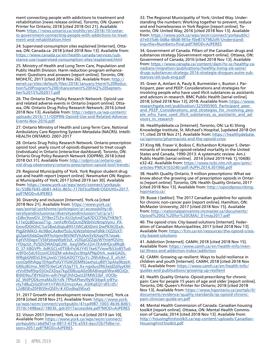ment connecting people with addictions to treatment and rehabilitation [news release online]. Toronto, ON: Queen's Printer for Ontario; 2018 [cited 2018 Oct 21]. Available from: [https://news.ontario.ca/mohltc/en/2018/10/ontar](https://news.ontario.ca/mohltc/en/2018/10/ontario-government-connecting-people-with-addictions-to-treatment-and-rehabilitation.html)[io-government-connecting-people-with-addictions-to-treat](https://news.ontario.ca/mohltc/en/2018/10/ontario-government-connecting-people-with-addictions-to-treatment-and-rehabilitation.html)[ment-and-rehabilitation.html](https://news.ontario.ca/mohltc/en/2018/10/ontario-government-connecting-people-with-addictions-to-treatment-and-rehabilitation.html)

24. Supervised consumption sites explained [Internet]. Ottawa, ON: Canada.ca 2018 [cited 2018 Nov 13]. Available from: [https://www.canada.ca/en/health-canada/services/sub](https://www.canada.ca/en/health-canada/services/substance-use/supervised-consumption-sites/explained.html)[stance-use/supervised-consumption-sites/explained.html](https://www.canada.ca/en/health-canada/services/substance-use/supervised-consumption-sites/explained.html)

25. Ministry of Health and Long Term Care, Population and Public Health Division. Harm reduction program enhancement: Questions and answers [report online]. Toronto, ON: MOHLTC; 2017 [cited 2018 Nov 26]. Available from: [http://](http://eenet.ca/sites/default/files/2018/January/Harm%20Reduction%20Program%20Enhancement%20FAQ%20September%2015%202017.pdf) [eenet.ca/sites/default/files/2018/January/Harm%20Reduc](http://eenet.ca/sites/default/files/2018/January/Harm%20Reduction%20Program%20Enhancement%20FAQ%20September%2015%202017.pdf)[tion%20Program%20Enhancement%20FAQ%20Septem](http://eenet.ca/sites/default/files/2018/January/Harm%20Reduction%20Program%20Enhancement%20FAQ%20September%2015%202017.pdf)[ber%2015%202017.pdf](http://eenet.ca/sites/default/files/2018/January/Harm%20Reduction%20Program%20Enhancement%20FAQ%20September%2015%202017.pdf)

26. The Ontario Drug Policy Research Network. Opioid use and related adverse events in Ontario [report online]. Ottawa, ON: Ontario Drug Policy Research Network; 2016 [cited 2018 Nov 13]. Available from: [http://odprn.ca/wp-content/](http://odprn.ca/wp-content/uploads/2016/11/ODPRN-Opioid-Use-and-Related-Adverse-Events-Nov-2016.pdf) [uploads/2016/11/ODPRN-Opioid-Use-and-Related-Adverse-](http://odprn.ca/wp-content/uploads/2016/11/ODPRN-Opioid-Use-and-Related-Adverse-Events-Nov-2016.pdf)[Events-Nov-2016.pdf](http://odprn.ca/wp-content/uploads/2016/11/ODPRN-Opioid-Use-and-Related-Adverse-Events-Nov-2016.pdf)

27. Ontario Ministry of Health and Long-Term Care, National Ambulatory Care Reporting System Metadata (NACRS). Intelli-HEALTH ONTARIO. 2007-2017

28. Ontario Drug Policy Research Network. Ontario prescription opioid tool. yearly count of opioids dispensed to treat cough (individuals) in Ontario [interactive dashboard]. Toronto, ON: Ontario Drug Policy Research Network (ODPRN); 2018 [cited 2018 Oct 31]. Available from: [http://odprn.ca/ontario-opi](http://odprn.ca/ontario-opioid-drug-observatory/ontario-prescription-opioid-tool/trends/)[oid-drug-observatory/ontario-prescription-opioid-tool/trends/](http://odprn.ca/ontario-opioid-drug-observatory/ontario-prescription-opioid-tool/trends/)

29. Regional Municipality of York. York Region student drug use and health report [report online]. Newmarket ON: Regional Municipality of York; 2017 [cited 2019 Jan 30]. Available from: [https://www.york.ca/wps/wcm/connect/yorkpub](https://www.york.ca/wps/wcm/connect/yorkpublic/558b7645-db81-443c-865c-717bf3caf0e8/OSDUHS+2017.pdf?MOD=AJPERES)[lic/558b7645-db81-443c-865c-717bf3caf0e8/OSDUHS+2017.](https://www.york.ca/wps/wcm/connect/yorkpublic/558b7645-db81-443c-865c-717bf3caf0e8/OSDUHS+2017.pdf?MOD=AJPERES) [pdf?MOD=AJPERES](https://www.york.ca/wps/wcm/connect/yorkpublic/558b7645-db81-443c-865c-717bf3caf0e8/OSDUHS+2017.pdf?MOD=AJPERES)

30. Diversity and inclusion [Internet]. York.ca [cited 2018 Nov 21]. Available from: [https://www.york.ca/](https://www.york.ca/wps/portal/yorkhome/yorkregion/yr/accessibility/diversityandinclusionsa/diversityandinclusion/!ut/p/a1/rZdbc9owEIV_DY8er2TLFo-KU3yhmE5pKfDCCF9AjTHENrTk11eQzBDacsssT1g-_rxnFzRH5sQcmZNSbtVcNmpVymJ_PXGmofDDIOhC1Le5BwL6IqIuB951tWCsBXDmI-DwPKW2ExAPIgj6HMKO-4U98oCAx8wf5sScJGWzbhbmeFdNk1XZZGXTgt2qetIXdaOazWFhsVpmr8tVNtfVtUAmSVbXaqYK1exakKptVtX6qyxTVSbFptaqWp65sX_vOlGpOZZgUWYnieHOUmrYDqcGt_PUSDOWADgEiJW_-bxg5MSn32m7EA4HQcx8RqBD_37-X8GVPh_6dKGCLn0TXBrFxSKJY451ke67VwwfbS3oBSTudw9FDo5dc93conlCDSIZM-wk4wZvc9tIgAPNpDtrk_wakGADLWRgbGMDsS3HLjJwiG156GADGTYQuYc-2NhABxuI_E_xfcAFcooOpNhAgg1EHgoPsXsYYlsW2EMR6JaxhyLuB0Y3pAta9bzeXGNlszBUma_M0TEr6eCzKVUjq71S_Xx-ngiduvZR63ejdZdilyyKMvtVv09eR9qr03OxZXDya7kpZl0BusjA0z0BA8iwgdiWw48OJQrBI0IDfeuTBYKGHn-wIh7HgF2hhQwU2FMW2JbF_VOObjiZ_WdPODkzmaMzZ6YzN-7fPbAPbevl9yW3dsp4-srBYuvty7d8uZzGsSFnH1nYWcX2mvzzAxv_ASIKqEQ!/dl5/d5/L2dBISEvZ0FBIS9nQSEh/#.XDzdbqSWxaS) [wps/portal/yorkhome/yorkregion/yr/accessibility/di](https://www.york.ca/wps/portal/yorkhome/yorkregion/yr/accessibility/diversityandinclusionsa/diversityandinclusion/!ut/p/a1/rZdbc9owEIV_DY8er2TLFo-KU3yhmE5pKfDCCF9AjTHENrTk11eQzBDacsssT1g-_rxnFzRH5sQcmZNSbtVcNmpVymJ_PXGmofDDIOhC1Le5BwL6IqIuB951tWCsBXDmI-DwPKW2ExAPIgj6HMKO-4U98oCAx8wf5sScJGWzbhbmeFdNk1XZZGXTgt2qetIXdaOazWFhsVpmr8tVNtfVtUAmSVbXaqYK1exakKptVtX6qyxTVSbFptaqWp65sX_vOlGpOZZgUWYnieHOUmrYDqcGt_PUSDOWADgEiJW_-bxg5MSn32m7EA4HQcx8RqBD_37-X8GVPh_6dKGCLn0TXBrFxSKJY451ke67VwwfbS3oBSTudw9FDo5dc93conlCDSIZM-wk4wZvc9tIgAPNpDtrk_wakGADLWRgbGMDsS3HLjJwiG156GADGTYQuYc-2NhABxuI_E_xfcAFcooOpNhAgg1EHgoPsXsYYlsW2EMR6JaxhyLuB0Y3pAta9bzeXGNlszBUma_M0TEr6eCzKVUjq71S_Xx-ngiduvZR63ejdZdilyyKMvtVv09eR9qr03OxZXDya7kpZl0BusjA0z0BA8iwgdiWw48OJQrBI0IDfeuTBYKGHn-wIh7HgF2hhQwU2FMW2JbF_VOObjiZ_WdPODkzmaMzZ6YzN-7fPbAPbevl9yW3dsp4-srBYuvty7d8uZzGsSFnH1nYWcX2mvzzAxv_ASIKqEQ!/dl5/d5/L2dBISEvZ0FBIS9nQSEh/#.XDzdbqSWxaS)[versityandinclusionsa/diversityandinclusion/!ut/p/a1/](https://www.york.ca/wps/portal/yorkhome/yorkregion/yr/accessibility/diversityandinclusionsa/diversityandinclusion/!ut/p/a1/rZdbc9owEIV_DY8er2TLFo-KU3yhmE5pKfDCCF9AjTHENrTk11eQzBDacsssT1g-_rxnFzRH5sQcmZNSbtVcNmpVymJ_PXGmofDDIOhC1Le5BwL6IqIuB951tWCsBXDmI-DwPKW2ExAPIgj6HMKO-4U98oCAx8wf5sScJGWzbhbmeFdNk1XZZGXTgt2qetIXdaOazWFhsVpmr8tVNtfVtUAmSVbXaqYK1exakKptVtX6qyxTVSbFptaqWp65sX_vOlGpOZZgUWYnieHOUmrYDqcGt_PUSDOWADgEiJW_-bxg5MSn32m7EA4HQcx8RqBD_37-X8GVPh_6dKGCLn0TXBrFxSKJY451ke67VwwfbS3oBSTudw9FDo5dc93conlCDSIZM-wk4wZvc9tIgAPNpDtrk_wakGADLWRgbGMDsS3HLjJwiG156GADGTYQuYc-2NhABxuI_E_xfcAFcooOpNhAgg1EHgoPsXsYYlsW2EMR6JaxhyLuB0Y3pAta9bzeXGNlszBUma_M0TEr6eCzKVUjq71S_Xx-ngiduvZR63ejdZdilyyKMvtVv09eR9qr03OxZXDya7kpZl0BusjA0z0BA8iwgdiWw48OJQrBI0IDfeuTBYKGHn-wIh7HgF2hhQwU2FMW2JbF_VOObjiZ_WdPODkzmaMzZ6YzN-7fPbAPbevl9yW3dsp4-srBYuvty7d8uZzGsSFnH1nYWcX2mvzzAxv_ASIKqEQ!/dl5/d5/L2dBISEvZ0FBIS9nQSEh/#.XDzdbqSWxaS) [rZdbc9owEIV\\_DY8er2TLFo-KU3yhmE5pKfDCCF9AjTHENrT](https://www.york.ca/wps/portal/yorkhome/yorkregion/yr/accessibility/diversityandinclusionsa/diversityandinclusion/!ut/p/a1/rZdbc9owEIV_DY8er2TLFo-KU3yhmE5pKfDCCF9AjTHENrTk11eQzBDacsssT1g-_rxnFzRH5sQcmZNSbtVcNmpVymJ_PXGmofDDIOhC1Le5BwL6IqIuB951tWCsBXDmI-DwPKW2ExAPIgj6HMKO-4U98oCAx8wf5sScJGWzbhbmeFdNk1XZZGXTgt2qetIXdaOazWFhsVpmr8tVNtfVtUAmSVbXaqYK1exakKptVtX6qyxTVSbFptaqWp65sX_vOlGpOZZgUWYnieHOUmrYDqcGt_PUSDOWADgEiJW_-bxg5MSn32m7EA4HQcx8RqBD_37-X8GVPh_6dKGCLn0TXBrFxSKJY451ke67VwwfbS3oBSTudw9FDo5dc93conlCDSIZM-wk4wZvc9tIgAPNpDtrk_wakGADLWRgbGMDsS3HLjJwiG156GADGTYQuYc-2NhABxuI_E_xfcAFcooOpNhAgg1EHgoPsXsYYlsW2EMR6JaxhyLuB0Y3pAta9bzeXGNlszBUma_M0TEr6eCzKVUjq71S_Xx-ngiduvZR63ejdZdilyyKMvtVv09eR9qr03OxZXDya7kpZl0BusjA0z0BA8iwgdiWw48OJQrBI0IDfeuTBYKGHn-wIh7HgF2hhQwU2FMW2JbF_VOObjiZ_WdPODkzmaMzZ6YzN-7fPbAPbevl9yW3dsp4-srBYuvty7d8uZzGsSFnH1nYWcX2mvzzAxv_ASIKqEQ!/dl5/d5/L2dBISEvZ0FBIS9nQSEh/#.XDzdbqSWxaS)[k11eQzBDacsssT1g-\\_rxnFzRH5sQcmZNSbtVcNmpVymJ\\_PX-](https://www.york.ca/wps/portal/yorkhome/yorkregion/yr/accessibility/diversityandinclusionsa/diversityandinclusion/!ut/p/a1/rZdbc9owEIV_DY8er2TLFo-KU3yhmE5pKfDCCF9AjTHENrTk11eQzBDacsssT1g-_rxnFzRH5sQcmZNSbtVcNmpVymJ_PXGmofDDIOhC1Le5BwL6IqIuB951tWCsBXDmI-DwPKW2ExAPIgj6HMKO-4U98oCAx8wf5sScJGWzbhbmeFdNk1XZZGXTgt2qetIXdaOazWFhsVpmr8tVNtfVtUAmSVbXaqYK1exakKptVtX6qyxTVSbFptaqWp65sX_vOlGpOZZgUWYnieHOUmrYDqcGt_PUSDOWADgEiJW_-bxg5MSn32m7EA4HQcx8RqBD_37-X8GVPh_6dKGCLn0TXBrFxSKJY451ke67VwwfbS3oBSTudw9FDo5dc93conlCDSIZM-wk4wZvc9tIgAPNpDtrk_wakGADLWRgbGMDsS3HLjJwiG156GADGTYQuYc-2NhABxuI_E_xfcAFcooOpNhAgg1EHgoPsXsYYlsW2EMR6JaxhyLuB0Y3pAta9bzeXGNlszBUma_M0TEr6eCzKVUjq71S_Xx-ngiduvZR63ejdZdilyyKMvtVv09eR9qr03OxZXDya7kpZl0BusjA0z0BA8iwgdiWw48OJQrBI0IDfeuTBYKGHn-wIh7HgF2hhQwU2FMW2JbF_VOObjiZ_WdPODkzmaMzZ6YzN-7fPbAPbevl9yW3dsp4-srBYuvty7d8uZzGsSFnH1nYWcX2mvzzAxv_ASIKqEQ!/dl5/d5/L2dBISEvZ0FBIS9nQSEh/#.XDzdbqSWxaS)[GmofDDIOhC1Le5BwL6IqIuB951tWCsBXDmI-DwPKW2ExA-](https://www.york.ca/wps/portal/yorkhome/yorkregion/yr/accessibility/diversityandinclusionsa/diversityandinclusion/!ut/p/a1/rZdbc9owEIV_DY8er2TLFo-KU3yhmE5pKfDCCF9AjTHENrTk11eQzBDacsssT1g-_rxnFzRH5sQcmZNSbtVcNmpVymJ_PXGmofDDIOhC1Le5BwL6IqIuB951tWCsBXDmI-DwPKW2ExAPIgj6HMKO-4U98oCAx8wf5sScJGWzbhbmeFdNk1XZZGXTgt2qetIXdaOazWFhsVpmr8tVNtfVtUAmSVbXaqYK1exakKptVtX6qyxTVSbFptaqWp65sX_vOlGpOZZgUWYnieHOUmrYDqcGt_PUSDOWADgEiJW_-bxg5MSn32m7EA4HQcx8RqBD_37-X8GVPh_6dKGCLn0TXBrFxSKJY451ke67VwwfbS3oBSTudw9FDo5dc93conlCDSIZM-wk4wZvc9tIgAPNpDtrk_wakGADLWRgbGMDsS3HLjJwiG156GADGTYQuYc-2NhABxuI_E_xfcAFcooOpNhAgg1EHgoPsXsYYlsW2EMR6JaxhyLuB0Y3pAta9bzeXGNlszBUma_M0TEr6eCzKVUjq71S_Xx-ngiduvZR63ejdZdilyyKMvtVv09eR9qr03OxZXDya7kpZl0BusjA0z0BA8iwgdiWw48OJQrBI0IDfeuTBYKGHn-wIh7HgF2hhQwU2FMW2JbF_VOObjiZ_WdPODkzmaMzZ6YzN-7fPbAPbevl9yW3dsp4-srBYuvty7d8uZzGsSFnH1nYWcX2mvzzAxv_ASIKqEQ!/dl5/d5/L2dBISEvZ0FBIS9nQSEh/#.XDzdbqSWxaS)[PIgj6HMKO-4U98oCAx8wf5sScJGWzbhbmeFdNk1XZZGXT](https://www.york.ca/wps/portal/yorkhome/yorkregion/yr/accessibility/diversityandinclusionsa/diversityandinclusion/!ut/p/a1/rZdbc9owEIV_DY8er2TLFo-KU3yhmE5pKfDCCF9AjTHENrTk11eQzBDacsssT1g-_rxnFzRH5sQcmZNSbtVcNmpVymJ_PXGmofDDIOhC1Le5BwL6IqIuB951tWCsBXDmI-DwPKW2ExAPIgj6HMKO-4U98oCAx8wf5sScJGWzbhbmeFdNk1XZZGXTgt2qetIXdaOazWFhsVpmr8tVNtfVtUAmSVbXaqYK1exakKptVtX6qyxTVSbFptaqWp65sX_vOlGpOZZgUWYnieHOUmrYDqcGt_PUSDOWADgEiJW_-bxg5MSn32m7EA4HQcx8RqBD_37-X8GVPh_6dKGCLn0TXBrFxSKJY451ke67VwwfbS3oBSTudw9FDo5dc93conlCDSIZM-wk4wZvc9tIgAPNpDtrk_wakGADLWRgbGMDsS3HLjJwiG156GADGTYQuYc-2NhABxuI_E_xfcAFcooOpNhAgg1EHgoPsXsYYlsW2EMR6JaxhyLuB0Y3pAta9bzeXGNlszBUma_M0TEr6eCzKVUjq71S_Xx-ngiduvZR63ejdZdilyyKMvtVv09eR9qr03OxZXDya7kpZl0BusjA0z0BA8iwgdiWw48OJQrBI0IDfeuTBYKGHn-wIh7HgF2hhQwU2FMW2JbF_VOObjiZ_WdPODkzmaMzZ6YzN-7fPbAPbevl9yW3dsp4-srBYuvty7d8uZzGsSFnH1nYWcX2mvzzAxv_ASIKqEQ!/dl5/d5/L2dBISEvZ0FBIS9nQSEh/#.XDzdbqSWxaS)[gt2qetIXdaOazWFhsVpmr8tVNtfVtUAmSVbXaqYK1exak-](https://www.york.ca/wps/portal/yorkhome/yorkregion/yr/accessibility/diversityandinclusionsa/diversityandinclusion/!ut/p/a1/rZdbc9owEIV_DY8er2TLFo-KU3yhmE5pKfDCCF9AjTHENrTk11eQzBDacsssT1g-_rxnFzRH5sQcmZNSbtVcNmpVymJ_PXGmofDDIOhC1Le5BwL6IqIuB951tWCsBXDmI-DwPKW2ExAPIgj6HMKO-4U98oCAx8wf5sScJGWzbhbmeFdNk1XZZGXTgt2qetIXdaOazWFhsVpmr8tVNtfVtUAmSVbXaqYK1exakKptVtX6qyxTVSbFptaqWp65sX_vOlGpOZZgUWYnieHOUmrYDqcGt_PUSDOWADgEiJW_-bxg5MSn32m7EA4HQcx8RqBD_37-X8GVPh_6dKGCLn0TXBrFxSKJY451ke67VwwfbS3oBSTudw9FDo5dc93conlCDSIZM-wk4wZvc9tIgAPNpDtrk_wakGADLWRgbGMDsS3HLjJwiG156GADGTYQuYc-2NhABxuI_E_xfcAFcooOpNhAgg1EHgoPsXsYYlsW2EMR6JaxhyLuB0Y3pAta9bzeXGNlszBUma_M0TEr6eCzKVUjq71S_Xx-ngiduvZR63ejdZdilyyKMvtVv09eR9qr03OxZXDya7kpZl0BusjA0z0BA8iwgdiWw48OJQrBI0IDfeuTBYKGHn-wIh7HgF2hhQwU2FMW2JbF_VOObjiZ_WdPODkzmaMzZ6YzN-7fPbAPbevl9yW3dsp4-srBYuvty7d8uZzGsSFnH1nYWcX2mvzzAxv_ASIKqEQ!/dl5/d5/L2dBISEvZ0FBIS9nQSEh/#.XDzdbqSWxaS)[KptVtX6qyxTVSbFptaqWp65sX\\_vOlGpOZZgUWYnieHOUm](https://www.york.ca/wps/portal/yorkhome/yorkregion/yr/accessibility/diversityandinclusionsa/diversityandinclusion/!ut/p/a1/rZdbc9owEIV_DY8er2TLFo-KU3yhmE5pKfDCCF9AjTHENrTk11eQzBDacsssT1g-_rxnFzRH5sQcmZNSbtVcNmpVymJ_PXGmofDDIOhC1Le5BwL6IqIuB951tWCsBXDmI-DwPKW2ExAPIgj6HMKO-4U98oCAx8wf5sScJGWzbhbmeFdNk1XZZGXTgt2qetIXdaOazWFhsVpmr8tVNtfVtUAmSVbXaqYK1exakKptVtX6qyxTVSbFptaqWp65sX_vOlGpOZZgUWYnieHOUmrYDqcGt_PUSDOWADgEiJW_-bxg5MSn32m7EA4HQcx8RqBD_37-X8GVPh_6dKGCLn0TXBrFxSKJY451ke67VwwfbS3oBSTudw9FDo5dc93conlCDSIZM-wk4wZvc9tIgAPNpDtrk_wakGADLWRgbGMDsS3HLjJwiG156GADGTYQuYc-2NhABxuI_E_xfcAFcooOpNhAgg1EHgoPsXsYYlsW2EMR6JaxhyLuB0Y3pAta9bzeXGNlszBUma_M0TEr6eCzKVUjq71S_Xx-ngiduvZR63ejdZdilyyKMvtVv09eR9qr03OxZXDya7kpZl0BusjA0z0BA8iwgdiWw48OJQrBI0IDfeuTBYKGHn-wIh7HgF2hhQwU2FMW2JbF_VOObjiZ_WdPODkzmaMzZ6YzN-7fPbAPbevl9yW3dsp4-srBYuvty7d8uZzGsSFnH1nYWcX2mvzzAxv_ASIKqEQ!/dl5/d5/L2dBISEvZ0FBIS9nQSEh/#.XDzdbqSWxaS)[rYDqcGt\\_PUSDOWADgEiJW\\_-bxg5MSn32m7EA4HQcx8RqB-](https://www.york.ca/wps/portal/yorkhome/yorkregion/yr/accessibility/diversityandinclusionsa/diversityandinclusion/!ut/p/a1/rZdbc9owEIV_DY8er2TLFo-KU3yhmE5pKfDCCF9AjTHENrTk11eQzBDacsssT1g-_rxnFzRH5sQcmZNSbtVcNmpVymJ_PXGmofDDIOhC1Le5BwL6IqIuB951tWCsBXDmI-DwPKW2ExAPIgj6HMKO-4U98oCAx8wf5sScJGWzbhbmeFdNk1XZZGXTgt2qetIXdaOazWFhsVpmr8tVNtfVtUAmSVbXaqYK1exakKptVtX6qyxTVSbFptaqWp65sX_vOlGpOZZgUWYnieHOUmrYDqcGt_PUSDOWADgEiJW_-bxg5MSn32m7EA4HQcx8RqBD_37-X8GVPh_6dKGCLn0TXBrFxSKJY451ke67VwwfbS3oBSTudw9FDo5dc93conlCDSIZM-wk4wZvc9tIgAPNpDtrk_wakGADLWRgbGMDsS3HLjJwiG156GADGTYQuYc-2NhABxuI_E_xfcAFcooOpNhAgg1EHgoPsXsYYlsW2EMR6JaxhyLuB0Y3pAta9bzeXGNlszBUma_M0TEr6eCzKVUjq71S_Xx-ngiduvZR63ejdZdilyyKMvtVv09eR9qr03OxZXDya7kpZl0BusjA0z0BA8iwgdiWw48OJQrBI0IDfeuTBYKGHn-wIh7HgF2hhQwU2FMW2JbF_VOObjiZ_WdPODkzmaMzZ6YzN-7fPbAPbevl9yW3dsp4-srBYuvty7d8uZzGsSFnH1nYWcX2mvzzAxv_ASIKqEQ!/dl5/d5/L2dBISEvZ0FBIS9nQSEh/#.XDzdbqSWxaS)[D\\_37-X8GVPh\\_6dKGCLn0TXBrFxSKJY451ke67VwwfbS3oBSTud](https://www.york.ca/wps/portal/yorkhome/yorkregion/yr/accessibility/diversityandinclusionsa/diversityandinclusion/!ut/p/a1/rZdbc9owEIV_DY8er2TLFo-KU3yhmE5pKfDCCF9AjTHENrTk11eQzBDacsssT1g-_rxnFzRH5sQcmZNSbtVcNmpVymJ_PXGmofDDIOhC1Le5BwL6IqIuB951tWCsBXDmI-DwPKW2ExAPIgj6HMKO-4U98oCAx8wf5sScJGWzbhbmeFdNk1XZZGXTgt2qetIXdaOazWFhsVpmr8tVNtfVtUAmSVbXaqYK1exakKptVtX6qyxTVSbFptaqWp65sX_vOlGpOZZgUWYnieHOUmrYDqcGt_PUSDOWADgEiJW_-bxg5MSn32m7EA4HQcx8RqBD_37-X8GVPh_6dKGCLn0TXBrFxSKJY451ke67VwwfbS3oBSTudw9FDo5dc93conlCDSIZM-wk4wZvc9tIgAPNpDtrk_wakGADLWRgbGMDsS3HLjJwiG156GADGTYQuYc-2NhABxuI_E_xfcAFcooOpNhAgg1EHgoPsXsYYlsW2EMR6JaxhyLuB0Y3pAta9bzeXGNlszBUma_M0TEr6eCzKVUjq71S_Xx-ngiduvZR63ejdZdilyyKMvtVv09eR9qr03OxZXDya7kpZl0BusjA0z0BA8iwgdiWw48OJQrBI0IDfeuTBYKGHn-wIh7HgF2hhQwU2FMW2JbF_VOObjiZ_WdPODkzmaMzZ6YzN-7fPbAPbevl9yW3dsp4-srBYuvty7d8uZzGsSFnH1nYWcX2mvzzAxv_ASIKqEQ!/dl5/d5/L2dBISEvZ0FBIS9nQSEh/#.XDzdbqSWxaS)[w9FDo5dc93conlCDSIZM-wk4wZvc9tIgAPNpDtrk\\_wakGADL-](https://www.york.ca/wps/portal/yorkhome/yorkregion/yr/accessibility/diversityandinclusionsa/diversityandinclusion/!ut/p/a1/rZdbc9owEIV_DY8er2TLFo-KU3yhmE5pKfDCCF9AjTHENrTk11eQzBDacsssT1g-_rxnFzRH5sQcmZNSbtVcNmpVymJ_PXGmofDDIOhC1Le5BwL6IqIuB951tWCsBXDmI-DwPKW2ExAPIgj6HMKO-4U98oCAx8wf5sScJGWzbhbmeFdNk1XZZGXTgt2qetIXdaOazWFhsVpmr8tVNtfVtUAmSVbXaqYK1exakKptVtX6qyxTVSbFptaqWp65sX_vOlGpOZZgUWYnieHOUmrYDqcGt_PUSDOWADgEiJW_-bxg5MSn32m7EA4HQcx8RqBD_37-X8GVPh_6dKGCLn0TXBrFxSKJY451ke67VwwfbS3oBSTudw9FDo5dc93conlCDSIZM-wk4wZvc9tIgAPNpDtrk_wakGADLWRgbGMDsS3HLjJwiG156GADGTYQuYc-2NhABxuI_E_xfcAFcooOpNhAgg1EHgoPsXsYYlsW2EMR6JaxhyLuB0Y3pAta9bzeXGNlszBUma_M0TEr6eCzKVUjq71S_Xx-ngiduvZR63ejdZdilyyKMvtVv09eR9qr03OxZXDya7kpZl0BusjA0z0BA8iwgdiWw48OJQrBI0IDfeuTBYKGHn-wIh7HgF2hhQwU2FMW2JbF_VOObjiZ_WdPODkzmaMzZ6YzN-7fPbAPbevl9yW3dsp4-srBYuvty7d8uZzGsSFnH1nYWcX2mvzzAxv_ASIKqEQ!/dl5/d5/L2dBISEvZ0FBIS9nQSEh/#.XDzdbqSWxaS)[WRgbGMDsS3HLjJwiG156GADGTYQuYc-2NhABxuI\\_E\\_xfcAF](https://www.york.ca/wps/portal/yorkhome/yorkregion/yr/accessibility/diversityandinclusionsa/diversityandinclusion/!ut/p/a1/rZdbc9owEIV_DY8er2TLFo-KU3yhmE5pKfDCCF9AjTHENrTk11eQzBDacsssT1g-_rxnFzRH5sQcmZNSbtVcNmpVymJ_PXGmofDDIOhC1Le5BwL6IqIuB951tWCsBXDmI-DwPKW2ExAPIgj6HMKO-4U98oCAx8wf5sScJGWzbhbmeFdNk1XZZGXTgt2qetIXdaOazWFhsVpmr8tVNtfVtUAmSVbXaqYK1exakKptVtX6qyxTVSbFptaqWp65sX_vOlGpOZZgUWYnieHOUmrYDqcGt_PUSDOWADgEiJW_-bxg5MSn32m7EA4HQcx8RqBD_37-X8GVPh_6dKGCLn0TXBrFxSKJY451ke67VwwfbS3oBSTudw9FDo5dc93conlCDSIZM-wk4wZvc9tIgAPNpDtrk_wakGADLWRgbGMDsS3HLjJwiG156GADGTYQuYc-2NhABxuI_E_xfcAFcooOpNhAgg1EHgoPsXsYYlsW2EMR6JaxhyLuB0Y3pAta9bzeXGNlszBUma_M0TEr6eCzKVUjq71S_Xx-ngiduvZR63ejdZdilyyKMvtVv09eR9qr03OxZXDya7kpZl0BusjA0z0BA8iwgdiWw48OJQrBI0IDfeuTBYKGHn-wIh7HgF2hhQwU2FMW2JbF_VOObjiZ_WdPODkzmaMzZ6YzN-7fPbAPbevl9yW3dsp4-srBYuvty7d8uZzGsSFnH1nYWcX2mvzzAxv_ASIKqEQ!/dl5/d5/L2dBISEvZ0FBIS9nQSEh/#.XDzdbqSWxaS)[cooOpNhAgg1EHgoPsXsYYlsW2EMR6JaxhyLuB0Y3pAta9bzeX-](https://www.york.ca/wps/portal/yorkhome/yorkregion/yr/accessibility/diversityandinclusionsa/diversityandinclusion/!ut/p/a1/rZdbc9owEIV_DY8er2TLFo-KU3yhmE5pKfDCCF9AjTHENrTk11eQzBDacsssT1g-_rxnFzRH5sQcmZNSbtVcNmpVymJ_PXGmofDDIOhC1Le5BwL6IqIuB951tWCsBXDmI-DwPKW2ExAPIgj6HMKO-4U98oCAx8wf5sScJGWzbhbmeFdNk1XZZGXTgt2qetIXdaOazWFhsVpmr8tVNtfVtUAmSVbXaqYK1exakKptVtX6qyxTVSbFptaqWp65sX_vOlGpOZZgUWYnieHOUmrYDqcGt_PUSDOWADgEiJW_-bxg5MSn32m7EA4HQcx8RqBD_37-X8GVPh_6dKGCLn0TXBrFxSKJY451ke67VwwfbS3oBSTudw9FDo5dc93conlCDSIZM-wk4wZvc9tIgAPNpDtrk_wakGADLWRgbGMDsS3HLjJwiG156GADGTYQuYc-2NhABxuI_E_xfcAFcooOpNhAgg1EHgoPsXsYYlsW2EMR6JaxhyLuB0Y3pAta9bzeXGNlszBUma_M0TEr6eCzKVUjq71S_Xx-ngiduvZR63ejdZdilyyKMvtVv09eR9qr03OxZXDya7kpZl0BusjA0z0BA8iwgdiWw48OJQrBI0IDfeuTBYKGHn-wIh7HgF2hhQwU2FMW2JbF_VOObjiZ_WdPODkzmaMzZ6YzN-7fPbAPbevl9yW3dsp4-srBYuvty7d8uZzGsSFnH1nYWcX2mvzzAxv_ASIKqEQ!/dl5/d5/L2dBISEvZ0FBIS9nQSEh/#.XDzdbqSWxaS)[GNlszBUma\\_M0TEr6eCzKVUjq71S\\_Xx-ngiduvZR63ejdZdilyyKM](https://www.york.ca/wps/portal/yorkhome/yorkregion/yr/accessibility/diversityandinclusionsa/diversityandinclusion/!ut/p/a1/rZdbc9owEIV_DY8er2TLFo-KU3yhmE5pKfDCCF9AjTHENrTk11eQzBDacsssT1g-_rxnFzRH5sQcmZNSbtVcNmpVymJ_PXGmofDDIOhC1Le5BwL6IqIuB951tWCsBXDmI-DwPKW2ExAPIgj6HMKO-4U98oCAx8wf5sScJGWzbhbmeFdNk1XZZGXTgt2qetIXdaOazWFhsVpmr8tVNtfVtUAmSVbXaqYK1exakKptVtX6qyxTVSbFptaqWp65sX_vOlGpOZZgUWYnieHOUmrYDqcGt_PUSDOWADgEiJW_-bxg5MSn32m7EA4HQcx8RqBD_37-X8GVPh_6dKGCLn0TXBrFxSKJY451ke67VwwfbS3oBSTudw9FDo5dc93conlCDSIZM-wk4wZvc9tIgAPNpDtrk_wakGADLWRgbGMDsS3HLjJwiG156GADGTYQuYc-2NhABxuI_E_xfcAFcooOpNhAgg1EHgoPsXsYYlsW2EMR6JaxhyLuB0Y3pAta9bzeXGNlszBUma_M0TEr6eCzKVUjq71S_Xx-ngiduvZR63ejdZdilyyKMvtVv09eR9qr03OxZXDya7kpZl0BusjA0z0BA8iwgdiWw48OJQrBI0IDfeuTBYKGHn-wIh7HgF2hhQwU2FMW2JbF_VOObjiZ_WdPODkzmaMzZ6YzN-7fPbAPbevl9yW3dsp4-srBYuvty7d8uZzGsSFnH1nYWcX2mvzzAxv_ASIKqEQ!/dl5/d5/L2dBISEvZ0FBIS9nQSEh/#.XDzdbqSWxaS)[vtVv09eR9qr03OxZXDya7kpZl0BusjA0z0BA8iwgdiWw48OJQr-](https://www.york.ca/wps/portal/yorkhome/yorkregion/yr/accessibility/diversityandinclusionsa/diversityandinclusion/!ut/p/a1/rZdbc9owEIV_DY8er2TLFo-KU3yhmE5pKfDCCF9AjTHENrTk11eQzBDacsssT1g-_rxnFzRH5sQcmZNSbtVcNmpVymJ_PXGmofDDIOhC1Le5BwL6IqIuB951tWCsBXDmI-DwPKW2ExAPIgj6HMKO-4U98oCAx8wf5sScJGWzbhbmeFdNk1XZZGXTgt2qetIXdaOazWFhsVpmr8tVNtfVtUAmSVbXaqYK1exakKptVtX6qyxTVSbFptaqWp65sX_vOlGpOZZgUWYnieHOUmrYDqcGt_PUSDOWADgEiJW_-bxg5MSn32m7EA4HQcx8RqBD_37-X8GVPh_6dKGCLn0TXBrFxSKJY451ke67VwwfbS3oBSTudw9FDo5dc93conlCDSIZM-wk4wZvc9tIgAPNpDtrk_wakGADLWRgbGMDsS3HLjJwiG156GADGTYQuYc-2NhABxuI_E_xfcAFcooOpNhAgg1EHgoPsXsYYlsW2EMR6JaxhyLuB0Y3pAta9bzeXGNlszBUma_M0TEr6eCzKVUjq71S_Xx-ngiduvZR63ejdZdilyyKMvtVv09eR9qr03OxZXDya7kpZl0BusjA0z0BA8iwgdiWw48OJQrBI0IDfeuTBYKGHn-wIh7HgF2hhQwU2FMW2JbF_VOObjiZ_WdPODkzmaMzZ6YzN-7fPbAPbevl9yW3dsp4-srBYuvty7d8uZzGsSFnH1nYWcX2mvzzAxv_ASIKqEQ!/dl5/d5/L2dBISEvZ0FBIS9nQSEh/#.XDzdbqSWxaS)[BI0IDfeuTBYKGHn-wIh7HgF2hhQwU2FMW2JbF\\_VOOb](https://www.york.ca/wps/portal/yorkhome/yorkregion/yr/accessibility/diversityandinclusionsa/diversityandinclusion/!ut/p/a1/rZdbc9owEIV_DY8er2TLFo-KU3yhmE5pKfDCCF9AjTHENrTk11eQzBDacsssT1g-_rxnFzRH5sQcmZNSbtVcNmpVymJ_PXGmofDDIOhC1Le5BwL6IqIuB951tWCsBXDmI-DwPKW2ExAPIgj6HMKO-4U98oCAx8wf5sScJGWzbhbmeFdNk1XZZGXTgt2qetIXdaOazWFhsVpmr8tVNtfVtUAmSVbXaqYK1exakKptVtX6qyxTVSbFptaqWp65sX_vOlGpOZZgUWYnieHOUmrYDqcGt_PUSDOWADgEiJW_-bxg5MSn32m7EA4HQcx8RqBD_37-X8GVPh_6dKGCLn0TXBrFxSKJY451ke67VwwfbS3oBSTudw9FDo5dc93conlCDSIZM-wk4wZvc9tIgAPNpDtrk_wakGADLWRgbGMDsS3HLjJwiG156GADGTYQuYc-2NhABxuI_E_xfcAFcooOpNhAgg1EHgoPsXsYYlsW2EMR6JaxhyLuB0Y3pAta9bzeXGNlszBUma_M0TEr6eCzKVUjq71S_Xx-ngiduvZR63ejdZdilyyKMvtVv09eR9qr03OxZXDya7kpZl0BusjA0z0BA8iwgdiWw48OJQrBI0IDfeuTBYKGHn-wIh7HgF2hhQwU2FMW2JbF_VOObjiZ_WdPODkzmaMzZ6YzN-7fPbAPbevl9yW3dsp4-srBYuvty7d8uZzGsSFnH1nYWcX2mvzzAxv_ASIKqEQ!/dl5/d5/L2dBISEvZ0FBIS9nQSEh/#.XDzdbqSWxaS)[jiZ\\_WdPODkzmaMzZ6YzN-7fPbAPbevl9yW3dsp4-srBYu](https://www.york.ca/wps/portal/yorkhome/yorkregion/yr/accessibility/diversityandinclusionsa/diversityandinclusion/!ut/p/a1/rZdbc9owEIV_DY8er2TLFo-KU3yhmE5pKfDCCF9AjTHENrTk11eQzBDacsssT1g-_rxnFzRH5sQcmZNSbtVcNmpVymJ_PXGmofDDIOhC1Le5BwL6IqIuB951tWCsBXDmI-DwPKW2ExAPIgj6HMKO-4U98oCAx8wf5sScJGWzbhbmeFdNk1XZZGXTgt2qetIXdaOazWFhsVpmr8tVNtfVtUAmSVbXaqYK1exakKptVtX6qyxTVSbFptaqWp65sX_vOlGpOZZgUWYnieHOUmrYDqcGt_PUSDOWADgEiJW_-bxg5MSn32m7EA4HQcx8RqBD_37-X8GVPh_6dKGCLn0TXBrFxSKJY451ke67VwwfbS3oBSTudw9FDo5dc93conlCDSIZM-wk4wZvc9tIgAPNpDtrk_wakGADLWRgbGMDsS3HLjJwiG156GADGTYQuYc-2NhABxuI_E_xfcAFcooOpNhAgg1EHgoPsXsYYlsW2EMR6JaxhyLuB0Y3pAta9bzeXGNlszBUma_M0TEr6eCzKVUjq71S_Xx-ngiduvZR63ejdZdilyyKMvtVv09eR9qr03OxZXDya7kpZl0BusjA0z0BA8iwgdiWw48OJQrBI0IDfeuTBYKGHn-wIh7HgF2hhQwU2FMW2JbF_VOObjiZ_WdPODkzmaMzZ6YzN-7fPbAPbevl9yW3dsp4-srBYuvty7d8uZzGsSFnH1nYWcX2mvzzAxv_ASIKqEQ!/dl5/d5/L2dBISEvZ0FBIS9nQSEh/#.XDzdbqSWxaS)[vty7d8uZzGsSFnH1nYWcX2mvzzAxv\\_ASIKqEQ!/dl5/d5/](https://www.york.ca/wps/portal/yorkhome/yorkregion/yr/accessibility/diversityandinclusionsa/diversityandinclusion/!ut/p/a1/rZdbc9owEIV_DY8er2TLFo-KU3yhmE5pKfDCCF9AjTHENrTk11eQzBDacsssT1g-_rxnFzRH5sQcmZNSbtVcNmpVymJ_PXGmofDDIOhC1Le5BwL6IqIuB951tWCsBXDmI-DwPKW2ExAPIgj6HMKO-4U98oCAx8wf5sScJGWzbhbmeFdNk1XZZGXTgt2qetIXdaOazWFhsVpmr8tVNtfVtUAmSVbXaqYK1exakKptVtX6qyxTVSbFptaqWp65sX_vOlGpOZZgUWYnieHOUmrYDqcGt_PUSDOWADgEiJW_-bxg5MSn32m7EA4HQcx8RqBD_37-X8GVPh_6dKGCLn0TXBrFxSKJY451ke67VwwfbS3oBSTudw9FDo5dc93conlCDSIZM-wk4wZvc9tIgAPNpDtrk_wakGADLWRgbGMDsS3HLjJwiG156GADGTYQuYc-2NhABxuI_E_xfcAFcooOpNhAgg1EHgoPsXsYYlsW2EMR6JaxhyLuB0Y3pAta9bzeXGNlszBUma_M0TEr6eCzKVUjq71S_Xx-ngiduvZR63ejdZdilyyKMvtVv09eR9qr03OxZXDya7kpZl0BusjA0z0BA8iwgdiWw48OJQrBI0IDfeuTBYKGHn-wIh7HgF2hhQwU2FMW2JbF_VOObjiZ_WdPODkzmaMzZ6YzN-7fPbAPbevl9yW3dsp4-srBYuvty7d8uZzGsSFnH1nYWcX2mvzzAxv_ASIKqEQ!/dl5/d5/L2dBISEvZ0FBIS9nQSEh/#.XDzdbqSWxaS) [L2dBISEvZ0FBIS9nQSEh/#.XDzdbqSWxaS](https://www.york.ca/wps/portal/yorkhome/yorkregion/yr/accessibility/diversityandinclusionsa/diversityandinclusion/!ut/p/a1/rZdbc9owEIV_DY8er2TLFo-KU3yhmE5pKfDCCF9AjTHENrTk11eQzBDacsssT1g-_rxnFzRH5sQcmZNSbtVcNmpVymJ_PXGmofDDIOhC1Le5BwL6IqIuB951tWCsBXDmI-DwPKW2ExAPIgj6HMKO-4U98oCAx8wf5sScJGWzbhbmeFdNk1XZZGXTgt2qetIXdaOazWFhsVpmr8tVNtfVtUAmSVbXaqYK1exakKptVtX6qyxTVSbFptaqWp65sX_vOlGpOZZgUWYnieHOUmrYDqcGt_PUSDOWADgEiJW_-bxg5MSn32m7EA4HQcx8RqBD_37-X8GVPh_6dKGCLn0TXBrFxSKJY451ke67VwwfbS3oBSTudw9FDo5dc93conlCDSIZM-wk4wZvc9tIgAPNpDtrk_wakGADLWRgbGMDsS3HLjJwiG156GADGTYQuYc-2NhABxuI_E_xfcAFcooOpNhAgg1EHgoPsXsYYlsW2EMR6JaxhyLuB0Y3pAta9bzeXGNlszBUma_M0TEr6eCzKVUjq71S_Xx-ngiduvZR63ejdZdilyyKMvtVv09eR9qr03OxZXDya7kpZl0BusjA0z0BA8iwgdiWw48OJQrBI0IDfeuTBYKGHn-wIh7HgF2hhQwU2FMW2JbF_VOObjiZ_WdPODkzmaMzZ6YzN-7fPbAPbevl9yW3dsp4-srBYuvty7d8uZzGsSFnH1nYWcX2mvzzAxv_ASIKqEQ!/dl5/d5/L2dBISEvZ0FBIS9nQSEh/#.XDzdbqSWxaS)

31. 2017 Growth and development review [Internet]. York.ca 2018 [cited 2018 Nov 21]. Available from: [https://www.york.](https://www.york.ca/wps/wcm/connect/yorkpublic/41ca4987-1003-4b36-8d61-3510c1498ae2/18036_gdr2017accessible.pdf?MOD=AJPERES) [ca/wps/wcm/connect/yorkpublic/41ca4987-1003-4b36-8d61-](https://www.york.ca/wps/wcm/connect/yorkpublic/41ca4987-1003-4b36-8d61-3510c1498ae2/18036_gdr2017accessible.pdf?MOD=AJPERES) [3510c1498ae2/18036\\_gdr2017accessible.pdf?MOD=AJPERES](https://www.york.ca/wps/wcm/connect/yorkpublic/41ca4987-1003-4b36-8d61-3510c1498ae2/18036_gdr2017accessible.pdf?MOD=AJPERES)

32. Vision 2051 [Internet]. York.ca n.d [cited 2019 Jan 10]. Available from: [https://www.york.ca/wps/wcm/connect/](https://www.york.ca/wps/wcm/connect/yorkpublic/a6d9d1ce-0813-4376-a593-daccf2b7fd6e/vision+2051.pdf?MOD=AJPERES) [yorkpublic/a6d9d1ce-0813-4376-a593-daccf2b7fd6e/vi](https://www.york.ca/wps/wcm/connect/yorkpublic/a6d9d1ce-0813-4376-a593-daccf2b7fd6e/vision+2051.pdf?MOD=AJPERES)[sion+2051.pdf?MOD=AJPERES](https://www.york.ca/wps/wcm/connect/yorkpublic/a6d9d1ce-0813-4376-a593-daccf2b7fd6e/vision+2051.pdf?MOD=AJPERES)

33. The Regional Municipality of York; United Way. Understanding the numbers: Working together to prevent, reduce and end homelessness in York Region [report online]. Toronto, ON: United Way; 2016 [cited 2018 Nov 13]. Available from: [https://www.york.ca/wps/wcm/connect/yorkpublic/](https://www.york.ca/wps/wcm/connect/yorkpublic/d7e035d6-0d8a-48d8-965e-f0e8747982d9/Understanding+the+Numbers+final.pdf?MOD=AJPERES) [d7e035d6-0d8a-48d8-965e-f0e8747982d9/Understand](https://www.york.ca/wps/wcm/connect/yorkpublic/d7e035d6-0d8a-48d8-965e-f0e8747982d9/Understanding+the+Numbers+final.pdf?MOD=AJPERES)[ing+the+Numbers+final.pdf?MOD=AJPERES](https://www.york.ca/wps/wcm/connect/yorkpublic/d7e035d6-0d8a-48d8-965e-f0e8747982d9/Understanding+the+Numbers+final.pdf?MOD=AJPERES)

34. Government of Canada. Pillars of the Canadian drugs and substances strategy [Government report online]. Ottawa, ON: Government of Canada; 2016 [cited 2018 Nov 13]. Available from: [https://www.canada.ca/content/dam/hc-sc/healthy-ca](https://www.canada.ca/content/dam/hc-sc/healthy-canadians/migration/publications/healthy-living-vie-saine/drugs-substances-strategy-2016-strategie-drogues-autre-substances/alt/pub-eng.pdf)[nadians/migration/publications/healthy-living-vie-saine/](https://www.canada.ca/content/dam/hc-sc/healthy-canadians/migration/publications/healthy-living-vie-saine/drugs-substances-strategy-2016-strategie-drogues-autre-substances/alt/pub-eng.pdf) [drugs-substances-strategy-2016-strategie-drogues-autre-sub](https://www.canada.ca/content/dam/hc-sc/healthy-canadians/migration/publications/healthy-living-vie-saine/drugs-substances-strategy-2016-strategie-drogues-autre-substances/alt/pub-eng.pdf)[stances/alt/pub-eng.pdf](https://www.canada.ca/content/dam/hc-sc/healthy-canadians/migration/publications/healthy-living-vie-saine/drugs-substances-strategy-2016-strategie-drogues-autre-substances/alt/pub-eng.pdf)

35. Greer A, Amlani A, Pauly B, Burmeister c, Buxton J. Participant, peer and PEEP: Considerations and strategies for involving people who have used illicit substances as assistants and advisors in research. BMC Public Health [serial online]. 2018; [cited 2018 Nov 13]; 2018. Available from: [https://www.](https://www.researchgate.net/publication/325995905_Participant_peer_and_PEEP_Considerations_and_strategies_for_involving_people_who_have_used_illicit_substances_as_assistants_and_advisors_in_research) [researchgate.net/publication/325995905\\_Participant\\_peer\\_](https://www.researchgate.net/publication/325995905_Participant_peer_and_PEEP_Considerations_and_strategies_for_involving_people_who_have_used_illicit_substances_as_assistants_and_advisors_in_research) [and\\_PEEP\\_Considerations\\_and\\_strategies\\_for\\_involving\\_peo](https://www.researchgate.net/publication/325995905_Participant_peer_and_PEEP_Considerations_and_strategies_for_involving_people_who_have_used_illicit_substances_as_assistants_and_advisors_in_research)[ple\\_who\\_have\\_used\\_illicit\\_substances\\_as\\_assistants\\_and\\_ad](https://www.researchgate.net/publication/325995905_Participant_peer_and_PEEP_Considerations_and_strategies_for_involving_people_who_have_used_illicit_substances_as_assistants_and_advisors_in_research)visors in research

36. Healthydebate.ca [Internet]. Toronto, ON: La Ki Shing Knowledge Institute, St. Michael's Hospital, [updated 2018 Oct 11; cited 2018 Nov 21]. Available from: [https://healthydebate.](https://healthydebate.ca/opinions/pharmacists-and-the-opioid-crisis) [ca/opinions/pharmacists-and-the-opioid-crisis](https://healthydebate.ca/opinions/pharmacists-and-the-opioid-crisis)

37.King NB, Fraser V, Boikos C, Richardson R,Harper S. Determinants of increased opioid-related mortality in the United States and Canada, 1990-2013: A systematic review. Am.J. Public Health [serial online]. 2014 [cited 2019 Feb 1];104(8): e32-42. Available from: [https://www.ncbi.nlm.nih.gov/pmc/](https://www.ncbi.nlm.nih.gov/pmc/articles/PMC4103240/pdf/AJPH.2014.301966.pdf) [articles/PMC4103240/pdf/AJPH.2014.301966.pdf](https://www.ncbi.nlm.nih.gov/pmc/articles/PMC4103240/pdf/AJPH.2014.301966.pdf)

38. Health Quality Ontario. 9 million prescriptions: What we know about the growing use of prescription opioids in Ontario [report online]. Toronto, ON: Health Quality Ontario; 2017 [cited 2018 Nov 13]. Available from: [http://opioidprescribing.](http://opioidprescribing.hqontario.ca/) [hqontario.ca/](http://opioidprescribing.hqontario.ca/)

39. Busse J [editor]. The 2017 Canadian guideline for opioids for chronic non-cancer pain [report online]. Hamilton, ON: McMaster University; 2017 [cited 2018 Nov 15]. Available from: [http://nationalpaincentre.mcmaster.ca/documents/](http://nationalpaincentre.mcmaster.ca/documents/Opioid%20GL%20for%20CMAJ_01may2017.pdf) [Opioid%20GL%20for%20CMAJ\\_01may2017.pdf](http://nationalpaincentre.mcmaster.ca/documents/Opioid%20GL%20for%20CMAJ_01may2017.pdf)

40. The opioid crisis: City-based solutions [Internet]. Federation of Canadian Municipalities; 2017 [cited 2018 Nov 13]. Available from: [https://fcm.ca/en/resources/the-opioid-crisis](https://fcm.ca/en/resources/the-opioid-crisis-city-based-solutions)[city-based-solutions](https://fcm.ca/en/resources/the-opioid-crisis-city-based-solutions)

41. Addiction [Internet]. CAMH; 2018 [cited 2018 Nov 15]. Available from: [https://www.camh.ca/en/health-info/men](https://www.camh.ca/en/health-info/mental-illness-and-addiction-index/addiction)[tal-illness-and-addiction-index/addiction](https://www.camh.ca/en/health-info/mental-illness-and-addiction-index/addiction)

42. CAMH. Growing up resilient: Ways to build resilience in children and youth [Internet]. CAMH; 2018 [cited 2018 Nov 15]. Available from: [https://www.camh.ca/en/health-info/](https://www.camh.ca/en/health-info/guides-and-publications/growing-up-resilient) [guides-and-publications/growing-up-resilient](https://www.camh.ca/en/health-info/guides-and-publications/growing-up-resilient)

43. Health Quality Ontario. Opioid prescribing for chronic pain: Care for people 15 years of age and older [report online]. Toronto, ON: Queen's Printer for Ontario; 2018 [cited 2018 Nov 13]. Available from: [https://www.hqontario.ca/portals/0/](https://www.hqontario.ca/portals/0/documents/evidence/quality-standards/qs-opioid-chronic-pain-clinician-guide-en.pdf) [documents/evidence/quality-standards/qs-opioid-chronic](https://www.hqontario.ca/portals/0/documents/evidence/quality-standards/qs-opioid-chronic-pain-clinician-guide-en.pdf)[pain-clinician-guide-en.pdf](https://www.hqontario.ca/portals/0/documents/evidence/quality-standards/qs-opioid-chronic-pain-clinician-guide-en.pdf)

44. Mental Health Commission of Canada. Canadian housing toolkit [report online]. Ottawa, ON: Mental Health Commission of Canada; 2014 [cited 2018 Nov 13]. Available from: [http://housingfirsttoolkit.ca/wp-content/uploads/Canadian-](http://housingfirsttoolkit.ca/wp-content/uploads/CanadianHousingFirstToolkit.pdf)[HousingFirstToolkit.pdf](http://housingfirsttoolkit.ca/wp-content/uploads/CanadianHousingFirstToolkit.pdf)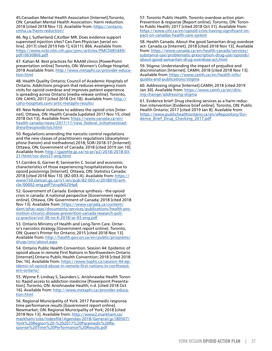45.Canadian Mental Health Association [Internet].Toronto, ON: Canadian Mental Health Association. Harm reduction. 2018 [cited 2018 Nov 13]. Available from: [https://ontario.](https://ontario.cmha.ca/harm-reduction/) [cmha.ca/harm-reduction/](https://ontario.cmha.ca/harm-reduction/)

46. Ng J, Sutherland C,Kolber MR. Does evidence support supervised injection sites? Can.Fam.Physician [serial online]. 2017[ cited 2019 Feb 1]; 63(11): 866. Available from: [https://www.ncbi.nlm.nih.gov/pmc/articles/PMC5685449/](https://www.ncbi.nlm.nih.gov/pmc/articles/PMC5685449/pdf/0630866.pdf) [pdf/0630866.pdf](https://www.ncbi.nlm.nih.gov/pmc/articles/PMC5685449/pdf/0630866.pdf)

47. Kahan M. Best practices for RAAM clinics [PowerPoint presentation online] Toronto, ON: Women's College Hospital; 2018 Available from: [http://www.metaphi.ca/provider-educa](http://www.metaphi.ca/provider-education.html%20.)[tion.html](http://www.metaphi.ca/provider-education.html%20.)

48. Health Quality Ontario; Council of Academic Hospitals of Ontario. Addictions program that reduces emergency room visits for opioid overdose and improves patient experience is spreading across Ontario [media release online]. Toronto, ON: CAHO; 2017 [cited 2018 Oct 18]. Available from: [http://](http://caho-hospitals.com/artic-metaphi-results/) [caho-hospitals.com/artic-metaphi-results/](http://caho-hospitals.com/artic-metaphi-results/)

49. New federal initiatives to address the opioid crisis [Internet]. Ottawa, ON: Health Canada [updated 2017 Nov 15; cited 2018 Oct 13]. Available from: [https://www.canada.ca/en/](https://www.canada.ca/en/health-canada/news/2017/11/new_federal_initiativestoaddresstheopioidcrisis.html) [health-canada/news/2017/11/new\\_federal\\_initiativestoad](https://www.canada.ca/en/health-canada/news/2017/11/new_federal_initiativestoaddresstheopioidcrisis.html)[dresstheopioidcrisis.html](https://www.canada.ca/en/health-canada/news/2017/11/new_federal_initiativestoaddresstheopioidcrisis.html)

50. Regulations amending the narcotic control regulations and the new classes of practitioners regulations (diacetylmorphine (heroin) and methadone).2018; SOR/2018-37.[Internet]. Ottawa, ON: Government of Canada; 2018 [cited 2019 Jan 10]. Available from: [http://gazette.gc.ca/rp-pr/p2/2018/2018-03-](http://gazette.gc.ca/rp-pr/p2/2018/2018-03-21/html/sor-dors37-eng.html) [21/html/sor-dors37-eng.html](http://gazette.gc.ca/rp-pr/p2/2018/2018-03-21/html/sor-dors37-eng.html)

51.Carrière G, Garner R, Sanmartin C. Social and economic characteristics of those experiencing hospitalizations due to opioid poisonings [Internet]. Ottawa, ON: Statistics Canada; 2018 [cited 2018 Nov 13]. (82-003-X). Available from: [https://](https://www150.statcan.gc.ca/n1/en/pub/82-003-x/2018010/article/00002-eng.pdf?st=pNGJ5HpE) [www150.statcan.gc.ca/n1/en/pub/82-003-x/2018010/arti](https://www150.statcan.gc.ca/n1/en/pub/82-003-x/2018010/article/00002-eng.pdf?st=pNGJ5HpE)[cle/00002-eng.pdf?st=pNGJ5HpE](https://www150.statcan.gc.ca/n1/en/pub/82-003-x/2018010/article/00002-eng.pdf?st=pNGJ5HpE)

52. Government of Canada. Evidence synthesis - the opioid crisis in canada: A national perspective [Government report online]. Ottawa, ON: Government of Canada; 2018 [cited 2018 Nov 13]. Available from[: https://www.canada.ca/content/](https://www.canada.ca/content/dam/phac-aspc/documents/services/publications/health-promotion-chronic-disease-prevention-canada-research-policy-practice/vol-38-no-6-2018/ar-03-eng.pdf) [dam/phac-aspc/documents/services/publications/health-pro](https://www.canada.ca/content/dam/phac-aspc/documents/services/publications/health-promotion-chronic-disease-prevention-canada-research-policy-practice/vol-38-no-6-2018/ar-03-eng.pdf)[motion-chronic-disease-prevention-canada-research-poli](https://www.canada.ca/content/dam/phac-aspc/documents/services/publications/health-promotion-chronic-disease-prevention-canada-research-policy-practice/vol-38-no-6-2018/ar-03-eng.pdf)[cy-practice/vol-38-no-6-2018/ar-03-eng.pdf](https://www.canada.ca/content/dam/phac-aspc/documents/services/publications/health-promotion-chronic-disease-prevention-canada-research-policy-practice/vol-38-no-6-2018/ar-03-eng.pdf)

53. Ontario Ministry of Health and Long-Term Care. Ontario's narcotics strategy [Government report online]. Toronto, ON: Queen's Printer for Ontario; 2015 [cited 2018 Nov 13]. Available from: [http://health.gov.on.ca/en/public/programs/](http://health.gov.on.ca/en/public/programs/drugs/ons/about.aspx) [drugs/ons/about.aspx](http://health.gov.on.ca/en/public/programs/drugs/ons/about.aspx)

54. Ontario Public Health Convention. Session 44: Epidemic of opioid abuse in remote First Nations in Northwestern Ontario [Internet].Ontario Public Health Convention; 2018 [cited 2018 Dec 16]. Available from: [https://www.tophc.ca/session-44-ep](https://www.tophc.ca/session-44-epidemic-of-opioid-abuse-in-remote-first-nations-in-northwestern-ontario/)[idemic-of-opioid-abuse-in-remote-first-nations-in-northwest](https://www.tophc.ca/session-44-epidemic-of-opioid-abuse-in-remote-first-nations-in-northwestern-ontario/)[ern-ontario/](https://www.tophc.ca/session-44-epidemic-of-opioid-abuse-in-remote-first-nations-in-northwestern-ontario/)

55. Wynne P, Lindsay S, Saunders L. Anishnawbe Health Toronto: Rapid access to addiction medicine [Powerpoint Presentation]. Toronto, ON: Anishnawbe Health; n.d. [cited 2018 Oct 16]. Available from: [http://www.metaphi.ca/provider-educa](http://www.metaphi.ca/provider-education.html)[tion.html](http://www.metaphi.ca/provider-education.html)

56. Regional Municipality of York. 2017 Paramedic response time performance results [Government report online]. Newmarket, ON: Regional Municipality of York; 2018 [cited 2018 Nov 13]. Available from: [http://www2.markham.ca/](http://www2.markham.ca/markham/ccbs/indexfile/Agendas/2018/General/gc180507/York%20Region%20-%202017%20Paramedic%20Response%20Time%20Performance%20Results.pdf) [markham/ccbs/indexfile/Agendas/2018/General/gc180507/](http://www2.markham.ca/markham/ccbs/indexfile/Agendas/2018/General/gc180507/York%20Region%20-%202017%20Paramedic%20Response%20Time%20Performance%20Results.pdf) [York%20Region%20-%202017%20Paramedic%20Re](http://www2.markham.ca/markham/ccbs/indexfile/Agendas/2018/General/gc180507/York%20Region%20-%202017%20Paramedic%20Response%20Time%20Performance%20Results.pdf)[sponse%20Time%20Performance%20Results.pdf](http://www2.markham.ca/markham/ccbs/indexfile/Agendas/2018/General/gc180507/York%20Region%20-%202017%20Paramedic%20Response%20Time%20Performance%20Results.pdf)

57. Toronto Public Health. Toronto overdose action plan: Prevention & response [Report online]. Toronto, ON: Toronto Public Health; 2017 [cited 2018 Oct 31]. Available from: [https://www.cihi.ca/en/opioid-crisis-having-significant-im](https://www.cihi.ca/en/opioid-crisis-having-significant-impact-on-canadas-health-care-system)[pact-on-canadas-health-care-system](https://www.cihi.ca/en/opioid-crisis-having-significant-impact-on-canadas-health-care-system)

58. Health Canada. About the good Samaritan drug overdose act- Canada.ca [Internet]. 2018 [cited 2018 Nov 13]. Available from: [https://www.canada.ca/en/health-canada/services/](https://www.canada.ca/en/health-canada/services/substance-use/problematic-prescription-drug-use/opioids/about-good-samaritan-drug-overdose-act.html) [substance-use/problematic-prescription-drug-use/opioids/](https://www.canada.ca/en/health-canada/services/substance-use/problematic-prescription-drug-use/opioids/about-good-samaritan-drug-overdose-act.html) [about-good-samaritan-drug-overdose-act.html](https://www.canada.ca/en/health-canada/services/substance-use/problematic-prescription-drug-use/opioids/about-good-samaritan-drug-overdose-act.html)

59. Stigma: Understanding the impact of prejudice and discrimination [Internet]. CAMH; 2018 [cited 2018 Nov 13]. Available from: [https://www.camh.ca/en/health-info/](https://www.camh.ca/en/health-info/guides-and-publications/stigma) [guides-and-publications/stigma](https://www.camh.ca/en/health-info/guides-and-publications/stigma)

60. Addressing stigma [Internet].CAMH; 2018 [cited 2019 Jan 30]. Available from: [https://www.camh.ca/en/driv](https://www.camh.ca/en/driving-change/addressing-stigma)[ing-change/addressing-stigma](https://www.camh.ca/en/driving-change/addressing-stigma)

61. Evidence brief: Drug checking services as a harm reduction intervention [Evidence brief online]. Toronto, ON: Public Health Ontario; 2017 [cited 2019 Jan 8]. Available from: [https://www.publichealthontario.ca/en/eRepository/Evi](https://www.publichealthontario.ca/en/eRepository/Evidence_Brief_Drug_Checking_2017.pdf)dence Brief Drug Checking 2017.pdf